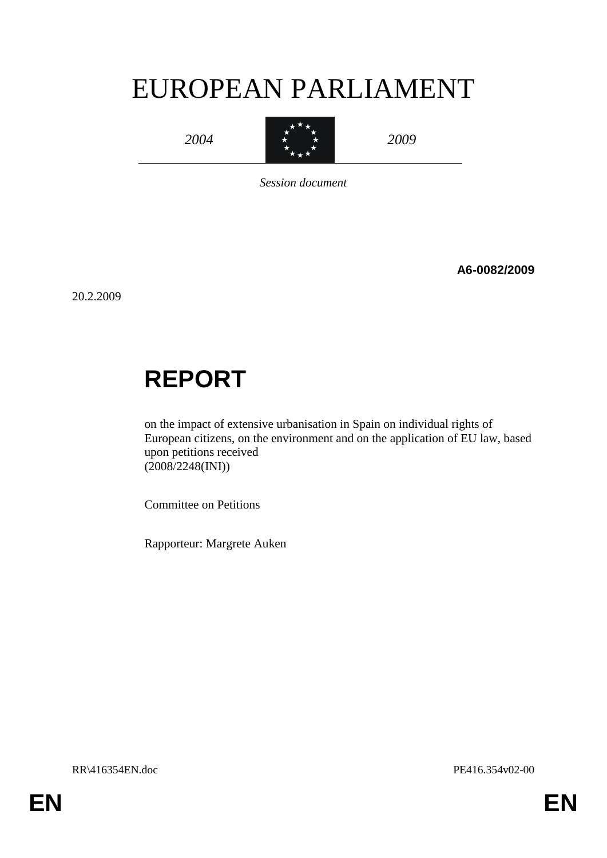# EUROPEAN PARLIAMENT

*2004*



*2009*

*Session document*

**A6-0082/2009**

20.2.2009

# **REPORT**

on the impact of extensive urbanisation in Spain on individual rights of European citizens, on the environment and on the application of EU law, based upon petitions received (2008/2248(INI))

Committee on Petitions

Rapporteur: Margrete Auken

RR\416354EN.doc PE416.354v02-00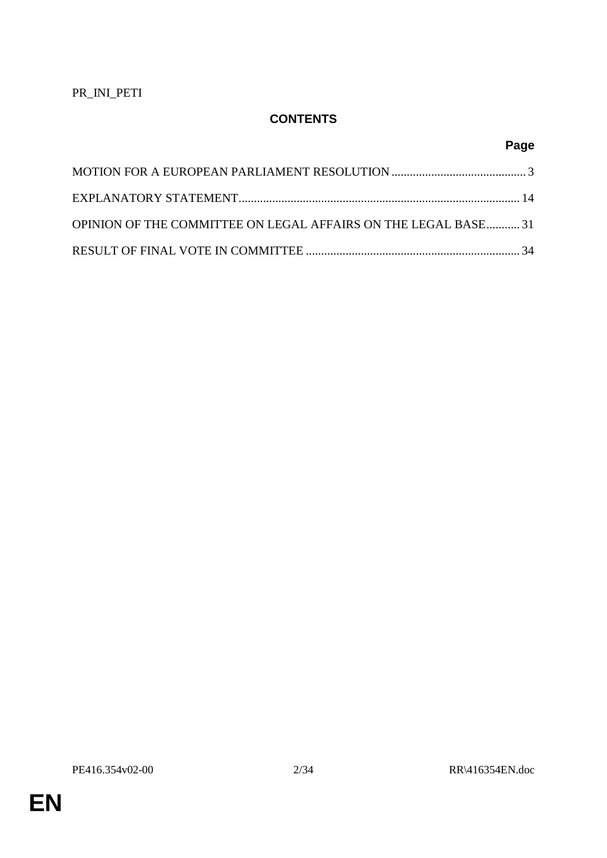# **CONTENTS**

# **Page**

| OPINION OF THE COMMITTEE ON LEGAL AFFAIRS ON THE LEGAL BASE 31 |  |
|----------------------------------------------------------------|--|
|                                                                |  |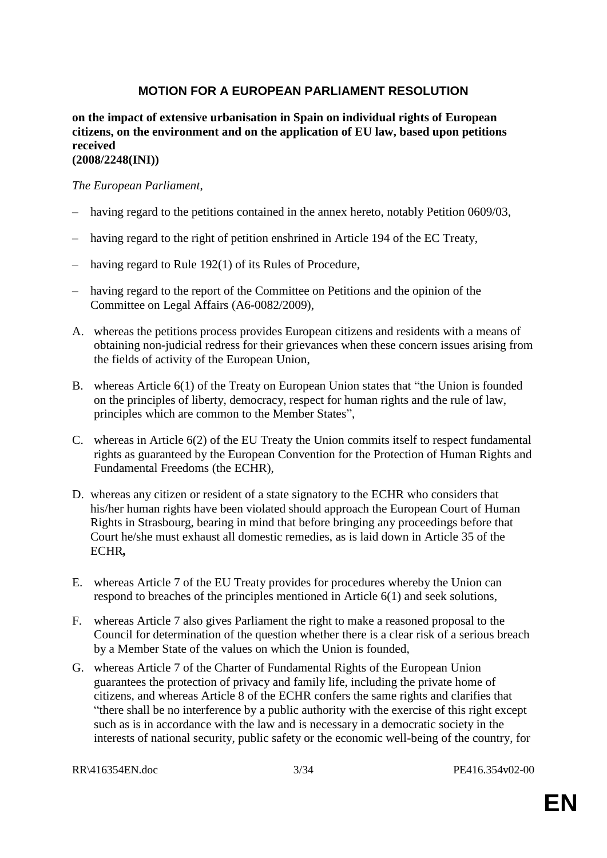## **MOTION FOR A EUROPEAN PARLIAMENT RESOLUTION**

#### **on the impact of extensive urbanisation in Spain on individual rights of European citizens, on the environment and on the application of EU law, based upon petitions received (2008/2248(INI))**

#### *The European Parliament*,

- having regard to the petitions contained in the annex hereto, notably Petition 0609/03,
- having regard to the right of petition enshrined in Article 194 of the EC Treaty,
- having regard to Rule 192(1) of its Rules of Procedure,
- having regard to the report of the Committee on Petitions and the opinion of the Committee on Legal Affairs (A6-0082/2009),
- A. whereas the petitions process provides European citizens and residents with a means of obtaining non-judicial redress for their grievances when these concern issues arising from the fields of activity of the European Union,
- B. whereas Article 6(1) of the Treaty on European Union states that "the Union is founded on the principles of liberty, democracy, respect for human rights and the rule of law, principles which are common to the Member States",
- C. whereas in Article 6(2) of the EU Treaty the Union commits itself to respect fundamental rights as guaranteed by the European Convention for the Protection of Human Rights and Fundamental Freedoms (the ECHR),
- D. whereas any citizen or resident of a state signatory to the ECHR who considers that his/her human rights have been violated should approach the European Court of Human Rights in Strasbourg, bearing in mind that before bringing any proceedings before that Court he/she must exhaust all domestic remedies, as is laid down in Article 35 of the ECHR*,*
- E. whereas Article 7 of the EU Treaty provides for procedures whereby the Union can respond to breaches of the principles mentioned in Article 6(1) and seek solutions,
- F. whereas Article 7 also gives Parliament the right to make a reasoned proposal to the Council for determination of the question whether there is a clear risk of a serious breach by a Member State of the values on which the Union is founded,
- G. whereas Article 7 of the Charter of Fundamental Rights of the European Union guarantees the protection of privacy and family life, including the private home of citizens, and whereas Article 8 of the ECHR confers the same rights and clarifies that "there shall be no interference by a public authority with the exercise of this right except such as is in accordance with the law and is necessary in a democratic society in the interests of national security, public safety or the economic well-being of the country, for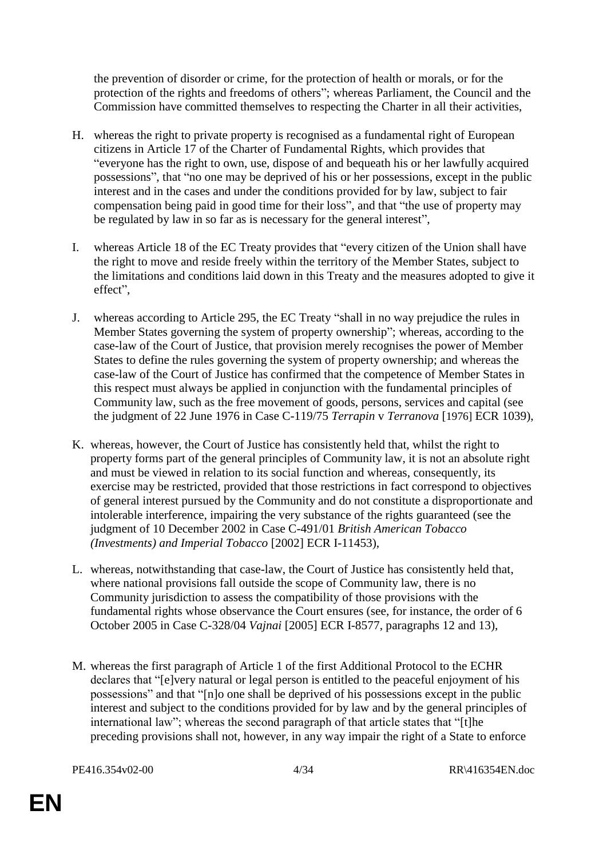the prevention of disorder or crime, for the protection of health or morals, or for the protection of the rights and freedoms of others"; whereas Parliament, the Council and the Commission have committed themselves to respecting the Charter in all their activities,

- H. whereas the right to private property is recognised as a fundamental right of European citizens in Article 17 of the Charter of Fundamental Rights, which provides that "everyone has the right to own, use, dispose of and bequeath his or her lawfully acquired possessions", that "no one may be deprived of his or her possessions, except in the public interest and in the cases and under the conditions provided for by law, subject to fair compensation being paid in good time for their loss", and that "the use of property may be regulated by law in so far as is necessary for the general interest",
- I. whereas Article 18 of the EC Treaty provides that "every citizen of the Union shall have the right to move and reside freely within the territory of the Member States, subject to the limitations and conditions laid down in this Treaty and the measures adopted to give it effect",
- J. whereas according to Article 295, the EC Treaty "shall in no way prejudice the rules in Member States governing the system of property ownership"; whereas, according to the case-law of the Court of Justice, that provision merely recognises the power of Member States to define the rules governing the system of property ownership; and whereas the case-law of the Court of Justice has confirmed that the competence of Member States in this respect must always be applied in conjunction with the fundamental principles of Community law, such as the free movement of goods, persons, services and capital (see the judgment of 22 June 1976 in Case C-119/75 *Terrapin* v *Terranova* [1976] ECR 1039),
- K. whereas, however, the Court of Justice has consistently held that, whilst the right to property forms part of the general principles of Community law, it is not an absolute right and must be viewed in relation to its social function and whereas, consequently, its exercise may be restricted, provided that those restrictions in fact correspond to objectives of general interest pursued by the Community and do not constitute a disproportionate and intolerable interference, impairing the very substance of the rights guaranteed (see the judgment of 10 December 2002 in Case C-491/01 *British American Tobacco (Investments) and Imperial Tobacco* [2002] ECR I-11453),
- L. whereas, notwithstanding that case-law, the Court of Justice has consistently held that, where national provisions fall outside the scope of Community law, there is no Community jurisdiction to assess the compatibility of those provisions with the fundamental rights whose observance the Court ensures (see, for instance, the order of 6 October 2005 in Case C-328/04 *Vajnai* [2005] ECR I-8577, paragraphs 12 and 13),
- M. whereas the first paragraph of Article 1 of the first Additional Protocol to the ECHR declares that "[e]very natural or legal person is entitled to the peaceful enjoyment of his possessions" and that "[n]o one shall be deprived of his possessions except in the public interest and subject to the conditions provided for by law and by the general principles of international law"; whereas the second paragraph of that article states that "[t]he preceding provisions shall not, however, in any way impair the right of a State to enforce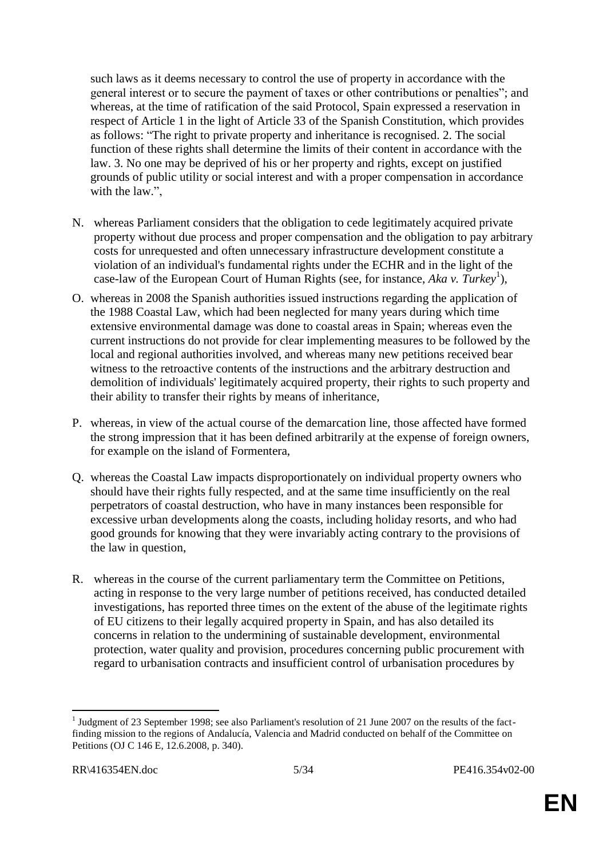such laws as it deems necessary to control the use of property in accordance with the general interest or to secure the payment of taxes or other contributions or penalties"; and whereas, at the time of ratification of the said Protocol, Spain expressed a reservation in respect of Article 1 in the light of Article 33 of the Spanish Constitution, which provides as follows: "The right to private property and inheritance is recognised. 2. The social function of these rights shall determine the limits of their content in accordance with the law. 3. No one may be deprived of his or her property and rights, except on justified grounds of public utility or social interest and with a proper compensation in accordance with the law.",

- N. whereas Parliament considers that the obligation to cede legitimately acquired private property without due process and proper compensation and the obligation to pay arbitrary costs for unrequested and often unnecessary infrastructure development constitute a violation of an individual's fundamental rights under the ECHR and in the light of the case-law of the European Court of Human Rights (see, for instance, *Aka v. Turkey*<sup>1</sup>),
- O. whereas in 2008 the Spanish authorities issued instructions regarding the application of the 1988 Coastal Law, which had been neglected for many years during which time extensive environmental damage was done to coastal areas in Spain; whereas even the current instructions do not provide for clear implementing measures to be followed by the local and regional authorities involved, and whereas many new petitions received bear witness to the retroactive contents of the instructions and the arbitrary destruction and demolition of individuals' legitimately acquired property, their rights to such property and their ability to transfer their rights by means of inheritance,
- P. whereas, in view of the actual course of the demarcation line, those affected have formed the strong impression that it has been defined arbitrarily at the expense of foreign owners, for example on the island of Formentera,
- Q. whereas the Coastal Law impacts disproportionately on individual property owners who should have their rights fully respected, and at the same time insufficiently on the real perpetrators of coastal destruction, who have in many instances been responsible for excessive urban developments along the coasts, including holiday resorts, and who had good grounds for knowing that they were invariably acting contrary to the provisions of the law in question,
- R. whereas in the course of the current parliamentary term the Committee on Petitions, acting in response to the very large number of petitions received, has conducted detailed investigations, has reported three times on the extent of the abuse of the legitimate rights of EU citizens to their legally acquired property in Spain, and has also detailed its concerns in relation to the undermining of sustainable development, environmental protection, water quality and provision, procedures concerning public procurement with regard to urbanisation contracts and insufficient control of urbanisation procedures by

<sup>&</sup>lt;sup>1</sup> Judgment of 23 September 1998; see also Parliament's resolution of 21 June 2007 on the results of the factfinding mission to the regions of Andalucía, Valencia and Madrid conducted on behalf of the Committee on Petitions (OJ C 146 E, 12.6.2008, p. 340).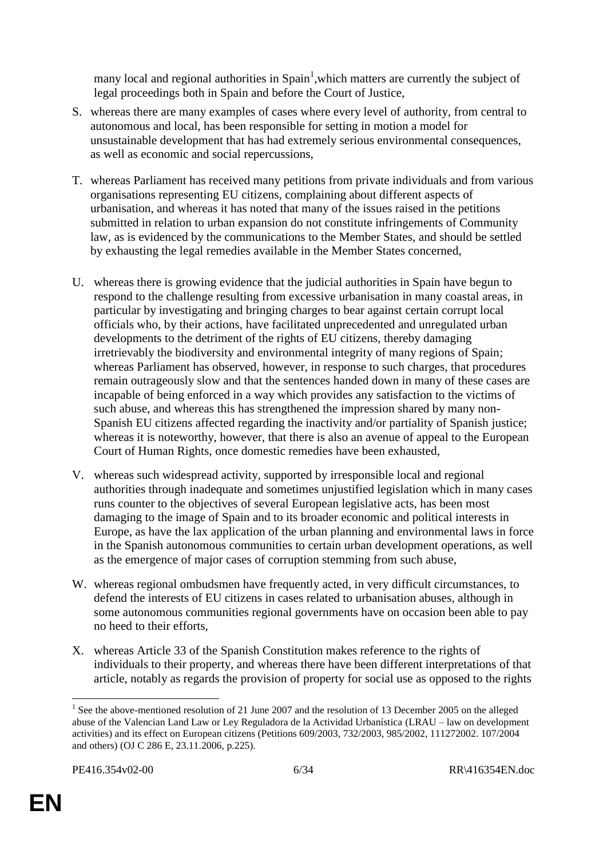many local and regional authorities in  $Spin<sup>1</sup>$ , which matters are currently the subject of legal proceedings both in Spain and before the Court of Justice,

- S. whereas there are many examples of cases where every level of authority, from central to autonomous and local, has been responsible for setting in motion a model for unsustainable development that has had extremely serious environmental consequences, as well as economic and social repercussions,
- T. whereas Parliament has received many petitions from private individuals and from various organisations representing EU citizens, complaining about different aspects of urbanisation, and whereas it has noted that many of the issues raised in the petitions submitted in relation to urban expansion do not constitute infringements of Community law, as is evidenced by the communications to the Member States, and should be settled by exhausting the legal remedies available in the Member States concerned,
- U. whereas there is growing evidence that the judicial authorities in Spain have begun to respond to the challenge resulting from excessive urbanisation in many coastal areas, in particular by investigating and bringing charges to bear against certain corrupt local officials who, by their actions, have facilitated unprecedented and unregulated urban developments to the detriment of the rights of EU citizens, thereby damaging irretrievably the biodiversity and environmental integrity of many regions of Spain; whereas Parliament has observed, however, in response to such charges, that procedures remain outrageously slow and that the sentences handed down in many of these cases are incapable of being enforced in a way which provides any satisfaction to the victims of such abuse, and whereas this has strengthened the impression shared by many non-Spanish EU citizens affected regarding the inactivity and/or partiality of Spanish justice; whereas it is noteworthy, however, that there is also an avenue of appeal to the European Court of Human Rights, once domestic remedies have been exhausted,
- V. whereas such widespread activity, supported by irresponsible local and regional authorities through inadequate and sometimes unjustified legislation which in many cases runs counter to the objectives of several European legislative acts, has been most damaging to the image of Spain and to its broader economic and political interests in Europe, as have the lax application of the urban planning and environmental laws in force in the Spanish autonomous communities to certain urban development operations, as well as the emergence of major cases of corruption stemming from such abuse,
- W. whereas regional ombudsmen have frequently acted, in very difficult circumstances, to defend the interests of EU citizens in cases related to urbanisation abuses, although in some autonomous communities regional governments have on occasion been able to pay no heed to their efforts,
- X. whereas Article 33 of the Spanish Constitution makes reference to the rights of individuals to their property, and whereas there have been different interpretations of that article, notably as regards the provision of property for social use as opposed to the rights

<sup>1</sup> <sup>1</sup> See the above-mentioned resolution of 21 June 2007 and the resolution of 13 December 2005 on the alleged abuse of the Valencian Land Law or Ley Reguladora de la Actividad Urbanística (LRAU – law on development activities) and its effect on European citizens (Petitions 609/2003, 732/2003, 985/2002, 111272002. 107/2004 and others) (OJ C 286 E, 23.11.2006, p.225).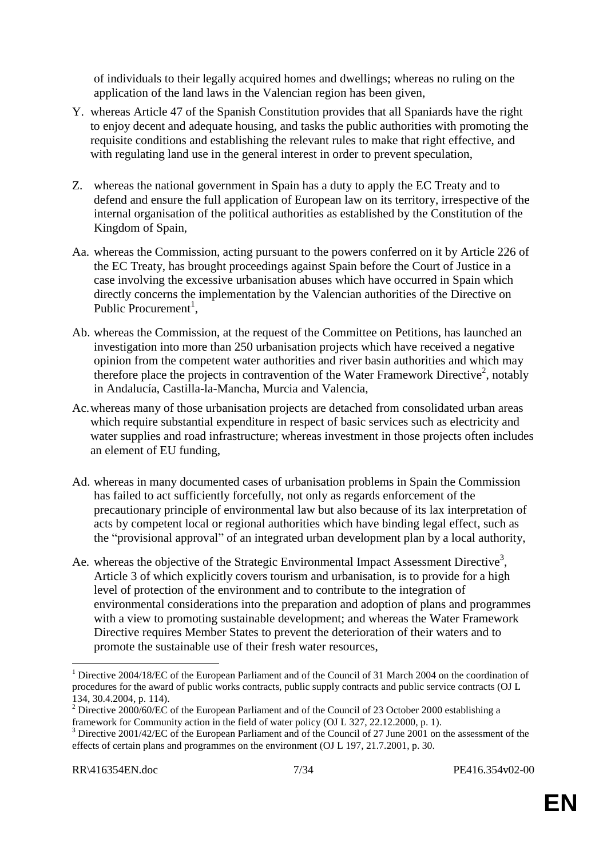of individuals to their legally acquired homes and dwellings; whereas no ruling on the application of the land laws in the Valencian region has been given,

- Y. whereas Article 47 of the Spanish Constitution provides that all Spaniards have the right to enjoy decent and adequate housing, and tasks the public authorities with promoting the requisite conditions and establishing the relevant rules to make that right effective, and with regulating land use in the general interest in order to prevent speculation,
- Z. whereas the national government in Spain has a duty to apply the EC Treaty and to defend and ensure the full application of European law on its territory, irrespective of the internal organisation of the political authorities as established by the Constitution of the Kingdom of Spain,
- Aa. whereas the Commission, acting pursuant to the powers conferred on it by Article 226 of the EC Treaty, has brought proceedings against Spain before the Court of Justice in a case involving the excessive urbanisation abuses which have occurred in Spain which directly concerns the implementation by the Valencian authorities of the Directive on Public Procurement<sup>1</sup>,
- Ab. whereas the Commission, at the request of the Committee on Petitions, has launched an investigation into more than 250 urbanisation projects which have received a negative opinion from the competent water authorities and river basin authorities and which may therefore place the projects in contravention of the Water Framework Directive<sup>2</sup>, notably in Andalucía, Castilla-la-Mancha, Murcia and Valencia,
- Ac.whereas many of those urbanisation projects are detached from consolidated urban areas which require substantial expenditure in respect of basic services such as electricity and water supplies and road infrastructure; whereas investment in those projects often includes an element of EU funding,
- Ad. whereas in many documented cases of urbanisation problems in Spain the Commission has failed to act sufficiently forcefully, not only as regards enforcement of the precautionary principle of environmental law but also because of its lax interpretation of acts by competent local or regional authorities which have binding legal effect, such as the "provisional approval" of an integrated urban development plan by a local authority,
- Ae. whereas the objective of the Strategic Environmental Impact Assessment Directive<sup>3</sup>, Article 3 of which explicitly covers tourism and urbanisation, is to provide for a high level of protection of the environment and to contribute to the integration of environmental considerations into the preparation and adoption of plans and programmes with a view to promoting sustainable development; and whereas the Water Framework Directive requires Member States to prevent the deterioration of their waters and to promote the sustainable use of their fresh water resources,

<sup>1</sup> <sup>1</sup> Directive 2004/18/EC of the European Parliament and of the Council of 31 March 2004 on the coordination of procedures for the award of public works contracts, public supply contracts and public service contracts (OJ L 134, 30.4.2004, p. 114).

<sup>&</sup>lt;sup>2</sup> Directive 2000/60/EC of the European Parliament and of the Council of 23 October 2000 establishing a framework for Community action in the field of water policy (OJ L 327, 22.12.2000, p. 1).

<sup>&</sup>lt;sup>3</sup> Directive 2001/42/EC of the European Parliament and of the Council of 27 June 2001 on the assessment of the effects of certain plans and programmes on the environment (OJ L 197, 21.7.2001, p. 30.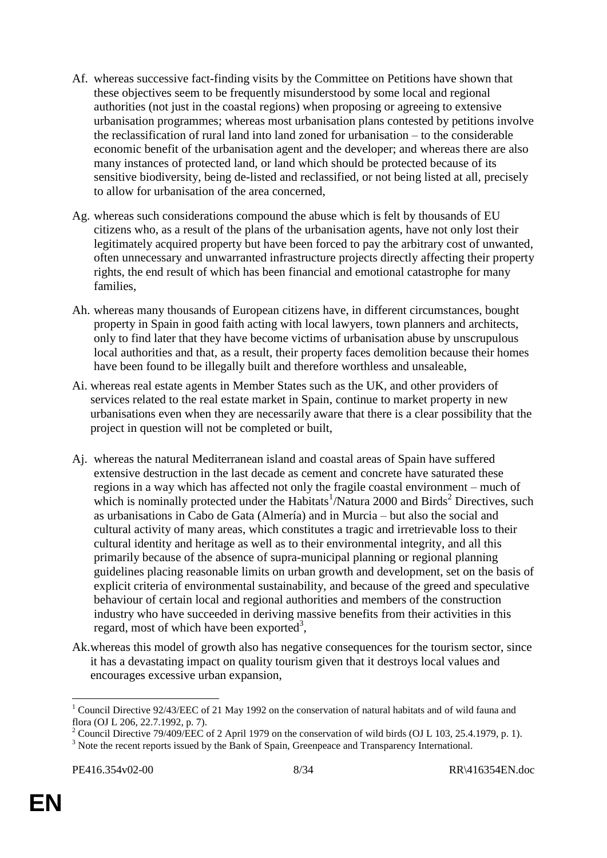- Af. whereas successive fact-finding visits by the Committee on Petitions have shown that these objectives seem to be frequently misunderstood by some local and regional authorities (not just in the coastal regions) when proposing or agreeing to extensive urbanisation programmes; whereas most urbanisation plans contested by petitions involve the reclassification of rural land into land zoned for urbanisation – to the considerable economic benefit of the urbanisation agent and the developer; and whereas there are also many instances of protected land, or land which should be protected because of its sensitive biodiversity, being de-listed and reclassified, or not being listed at all, precisely to allow for urbanisation of the area concerned,
- Ag. whereas such considerations compound the abuse which is felt by thousands of EU citizens who, as a result of the plans of the urbanisation agents, have not only lost their legitimately acquired property but have been forced to pay the arbitrary cost of unwanted, often unnecessary and unwarranted infrastructure projects directly affecting their property rights, the end result of which has been financial and emotional catastrophe for many families,
- Ah. whereas many thousands of European citizens have, in different circumstances, bought property in Spain in good faith acting with local lawyers, town planners and architects, only to find later that they have become victims of urbanisation abuse by unscrupulous local authorities and that, as a result, their property faces demolition because their homes have been found to be illegally built and therefore worthless and unsaleable,
- Ai. whereas real estate agents in Member States such as the UK, and other providers of services related to the real estate market in Spain, continue to market property in new urbanisations even when they are necessarily aware that there is a clear possibility that the project in question will not be completed or built,
- Aj. whereas the natural Mediterranean island and coastal areas of Spain have suffered extensive destruction in the last decade as cement and concrete have saturated these regions in a way which has affected not only the fragile coastal environment – much of which is nominally protected under the Habitats<sup>1</sup>/Natura 2000 and Birds<sup>2</sup> Directives, such as urbanisations in Cabo de Gata (Almería) and in Murcia – but also the social and cultural activity of many areas, which constitutes a tragic and irretrievable loss to their cultural identity and heritage as well as to their environmental integrity, and all this primarily because of the absence of supra-municipal planning or regional planning guidelines placing reasonable limits on urban growth and development, set on the basis of explicit criteria of environmental sustainability, and because of the greed and speculative behaviour of certain local and regional authorities and members of the construction industry who have succeeded in deriving massive benefits from their activities in this regard, most of which have been exported<sup>3</sup>,
- Ak.whereas this model of growth also has negative consequences for the tourism sector, since it has a devastating impact on quality tourism given that it destroys local values and encourages excessive urban expansion,

<sup>1</sup> <sup>1</sup> Council Directive 92/43/EEC of 21 May 1992 on the conservation of natural habitats and of wild fauna and flora (OJ L 206, 22.7.1992, p. 7).

<sup>&</sup>lt;sup>2</sup> Council Directive 79/409/EEC of 2 April 1979 on the conservation of wild birds (OJ L 103, 25.4.1979, p. 1).

<sup>&</sup>lt;sup>3</sup> Note the recent reports issued by the Bank of Spain, Greenpeace and Transparency International.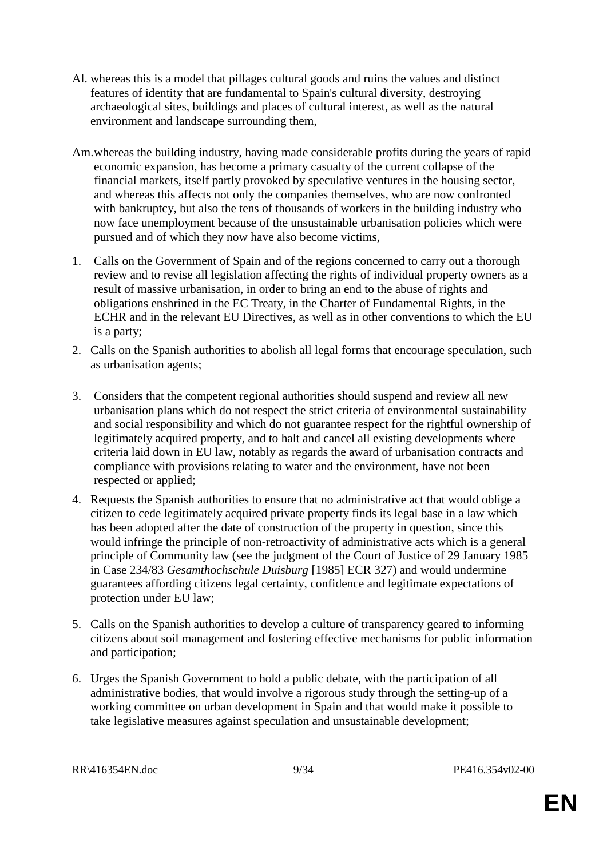- Al. whereas this is a model that pillages cultural goods and ruins the values and distinct features of identity that are fundamental to Spain's cultural diversity, destroying archaeological sites, buildings and places of cultural interest, as well as the natural environment and landscape surrounding them,
- Am.whereas the building industry, having made considerable profits during the years of rapid economic expansion, has become a primary casualty of the current collapse of the financial markets, itself partly provoked by speculative ventures in the housing sector, and whereas this affects not only the companies themselves, who are now confronted with bankruptcy, but also the tens of thousands of workers in the building industry who now face unemployment because of the unsustainable urbanisation policies which were pursued and of which they now have also become victims,
- 1. Calls on the Government of Spain and of the regions concerned to carry out a thorough review and to revise all legislation affecting the rights of individual property owners as a result of massive urbanisation, in order to bring an end to the abuse of rights and obligations enshrined in the EC Treaty, in the Charter of Fundamental Rights, in the ECHR and in the relevant EU Directives, as well as in other conventions to which the EU is a party;
- 2. Calls on the Spanish authorities to abolish all legal forms that encourage speculation, such as urbanisation agents;
- 3. Considers that the competent regional authorities should suspend and review all new urbanisation plans which do not respect the strict criteria of environmental sustainability and social responsibility and which do not guarantee respect for the rightful ownership of legitimately acquired property, and to halt and cancel all existing developments where criteria laid down in EU law, notably as regards the award of urbanisation contracts and compliance with provisions relating to water and the environment, have not been respected or applied;
- 4. Requests the Spanish authorities to ensure that no administrative act that would oblige a citizen to cede legitimately acquired private property finds its legal base in a law which has been adopted after the date of construction of the property in question, since this would infringe the principle of non-retroactivity of administrative acts which is a general principle of Community law (see the judgment of the Court of Justice of 29 January 1985 in Case 234/83 *Gesamthochschule Duisburg* [1985] ECR 327) and would undermine guarantees affording citizens legal certainty, confidence and legitimate expectations of protection under EU law;
- 5. Calls on the Spanish authorities to develop a culture of transparency geared to informing citizens about soil management and fostering effective mechanisms for public information and participation;
- 6. Urges the Spanish Government to hold a public debate, with the participation of all administrative bodies, that would involve a rigorous study through the setting-up of a working committee on urban development in Spain and that would make it possible to take legislative measures against speculation and unsustainable development;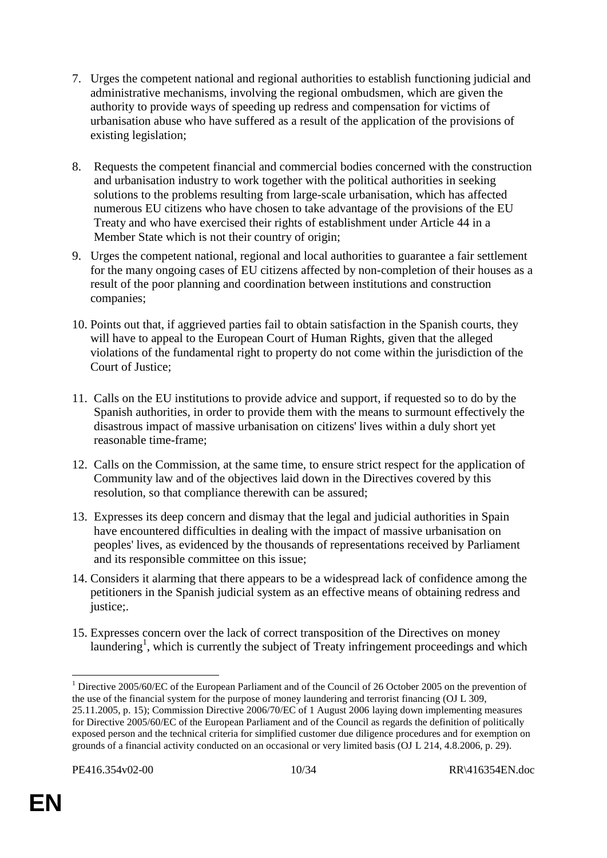- 7. Urges the competent national and regional authorities to establish functioning judicial and administrative mechanisms, involving the regional ombudsmen, which are given the authority to provide ways of speeding up redress and compensation for victims of urbanisation abuse who have suffered as a result of the application of the provisions of existing legislation;
- 8. Requests the competent financial and commercial bodies concerned with the construction and urbanisation industry to work together with the political authorities in seeking solutions to the problems resulting from large-scale urbanisation, which has affected numerous EU citizens who have chosen to take advantage of the provisions of the EU Treaty and who have exercised their rights of establishment under Article 44 in a Member State which is not their country of origin;
- 9. Urges the competent national, regional and local authorities to guarantee a fair settlement for the many ongoing cases of EU citizens affected by non-completion of their houses as a result of the poor planning and coordination between institutions and construction companies;
- 10. Points out that, if aggrieved parties fail to obtain satisfaction in the Spanish courts, they will have to appeal to the European Court of Human Rights, given that the alleged violations of the fundamental right to property do not come within the jurisdiction of the Court of Justice;
- 11. Calls on the EU institutions to provide advice and support, if requested so to do by the Spanish authorities, in order to provide them with the means to surmount effectively the disastrous impact of massive urbanisation on citizens' lives within a duly short yet reasonable time-frame;
- 12. Calls on the Commission, at the same time, to ensure strict respect for the application of Community law and of the objectives laid down in the Directives covered by this resolution, so that compliance therewith can be assured;
- 13. Expresses its deep concern and dismay that the legal and judicial authorities in Spain have encountered difficulties in dealing with the impact of massive urbanisation on peoples' lives, as evidenced by the thousands of representations received by Parliament and its responsible committee on this issue;
- 14. Considers it alarming that there appears to be a widespread lack of confidence among the petitioners in the Spanish judicial system as an effective means of obtaining redress and justice;.
- 15. Expresses concern over the lack of correct transposition of the Directives on money laundering<sup>1</sup>, which is currently the subject of Treaty infringement proceedings and which

<sup>&</sup>lt;sup>1</sup> Directive 2005/60/EC of the European Parliament and of the Council of 26 October 2005 on the prevention of the use of the financial system for the purpose of money laundering and terrorist financing (OJ L 309, 25.11.2005, p. 15); Commission Directive 2006/70/EC of 1 August 2006 laying down implementing measures for Directive 2005/60/EC of the European Parliament and of the Council as regards the definition of politically exposed person and the technical criteria for simplified customer due diligence procedures and for exemption on grounds of a financial activity conducted on an occasional or very limited basis (OJ L 214, 4.8.2006, p. 29).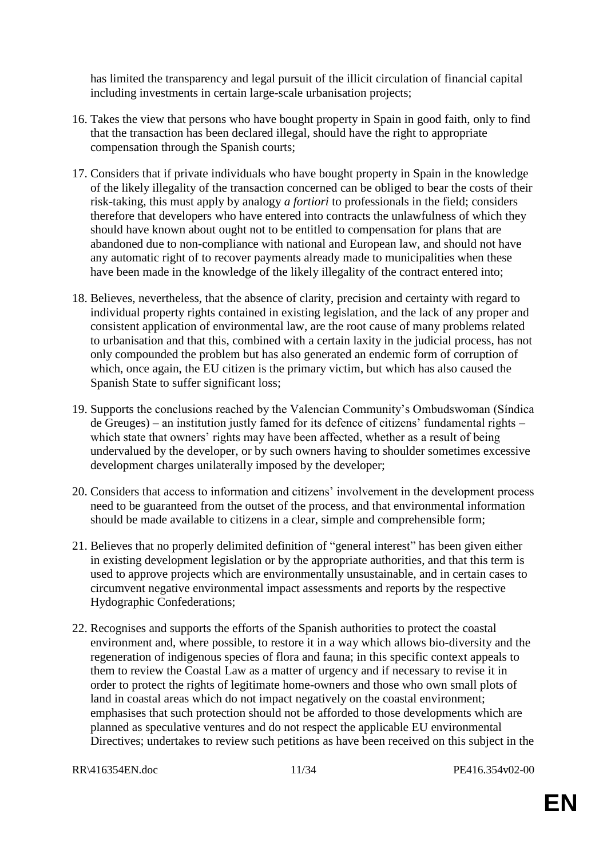has limited the transparency and legal pursuit of the illicit circulation of financial capital including investments in certain large-scale urbanisation projects;

- 16. Takes the view that persons who have bought property in Spain in good faith, only to find that the transaction has been declared illegal, should have the right to appropriate compensation through the Spanish courts;
- 17. Considers that if private individuals who have bought property in Spain in the knowledge of the likely illegality of the transaction concerned can be obliged to bear the costs of their risk-taking, this must apply by analogy *a fortiori* to professionals in the field; considers therefore that developers who have entered into contracts the unlawfulness of which they should have known about ought not to be entitled to compensation for plans that are abandoned due to non-compliance with national and European law, and should not have any automatic right of to recover payments already made to municipalities when these have been made in the knowledge of the likely illegality of the contract entered into;
- 18. Believes, nevertheless, that the absence of clarity, precision and certainty with regard to individual property rights contained in existing legislation, and the lack of any proper and consistent application of environmental law, are the root cause of many problems related to urbanisation and that this, combined with a certain laxity in the judicial process, has not only compounded the problem but has also generated an endemic form of corruption of which, once again, the EU citizen is the primary victim, but which has also caused the Spanish State to suffer significant loss;
- 19. Supports the conclusions reached by the Valencian Community's Ombudswoman (Síndica de Greuges) – an institution justly famed for its defence of citizens' fundamental rights – which state that owners' rights may have been affected, whether as a result of being undervalued by the developer, or by such owners having to shoulder sometimes excessive development charges unilaterally imposed by the developer;
- 20. Considers that access to information and citizens' involvement in the development process need to be guaranteed from the outset of the process, and that environmental information should be made available to citizens in a clear, simple and comprehensible form;
- 21. Believes that no properly delimited definition of "general interest" has been given either in existing development legislation or by the appropriate authorities, and that this term is used to approve projects which are environmentally unsustainable, and in certain cases to circumvent negative environmental impact assessments and reports by the respective Hydographic Confederations;
- 22. Recognises and supports the efforts of the Spanish authorities to protect the coastal environment and, where possible, to restore it in a way which allows bio-diversity and the regeneration of indigenous species of flora and fauna; in this specific context appeals to them to review the Coastal Law as a matter of urgency and if necessary to revise it in order to protect the rights of legitimate home-owners and those who own small plots of land in coastal areas which do not impact negatively on the coastal environment; emphasises that such protection should not be afforded to those developments which are planned as speculative ventures and do not respect the applicable EU environmental Directives; undertakes to review such petitions as have been received on this subject in the

RR\416354EN.doc 11/34 PE416.354v02-00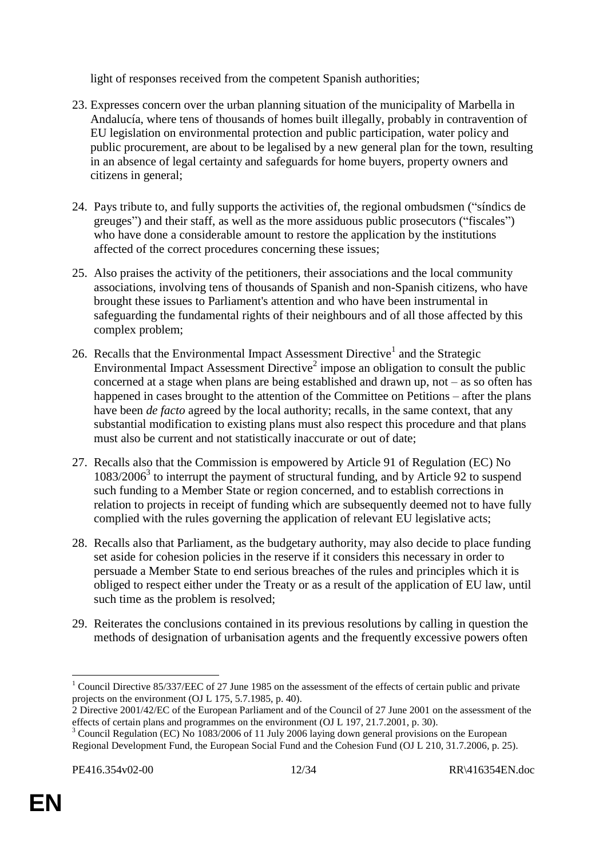light of responses received from the competent Spanish authorities;

- 23. Expresses concern over the urban planning situation of the municipality of Marbella in Andalucía, where tens of thousands of homes built illegally, probably in contravention of EU legislation on environmental protection and public participation, water policy and public procurement, are about to be legalised by a new general plan for the town, resulting in an absence of legal certainty and safeguards for home buyers, property owners and citizens in general;
- 24. Pays tribute to, and fully supports the activities of, the regional ombudsmen ("síndics de greuges") and their staff, as well as the more assiduous public prosecutors ("fiscales") who have done a considerable amount to restore the application by the institutions affected of the correct procedures concerning these issues;
- 25. Also praises the activity of the petitioners, their associations and the local community associations, involving tens of thousands of Spanish and non-Spanish citizens, who have brought these issues to Parliament's attention and who have been instrumental in safeguarding the fundamental rights of their neighbours and of all those affected by this complex problem;
- 26. Recalls that the Environmental Impact Assessment Directive<sup>1</sup> and the Strategic Environmental Impact Assessment Directive<sup>2</sup> impose an obligation to consult the public concerned at a stage when plans are being established and drawn up, not – as so often has happened in cases brought to the attention of the Committee on Petitions – after the plans have been *de facto* agreed by the local authority; recalls, in the same context, that any substantial modification to existing plans must also respect this procedure and that plans must also be current and not statistically inaccurate or out of date;
- 27. Recalls also that the Commission is empowered by Article 91 of Regulation (EC) No 1083/2006<sup>3</sup> to interrupt the payment of structural funding, and by Article 92 to suspend such funding to a Member State or region concerned, and to establish corrections in relation to projects in receipt of funding which are subsequently deemed not to have fully complied with the rules governing the application of relevant EU legislative acts;
- 28. Recalls also that Parliament, as the budgetary authority, may also decide to place funding set aside for cohesion policies in the reserve if it considers this necessary in order to persuade a Member State to end serious breaches of the rules and principles which it is obliged to respect either under the Treaty or as a result of the application of EU law, until such time as the problem is resolved;
- 29. Reiterates the conclusions contained in its previous resolutions by calling in question the methods of designation of urbanisation agents and the frequently excessive powers often

<sup>&</sup>lt;sup>1</sup> Council Directive 85/337/EEC of 27 June 1985 on the assessment of the effects of certain public and private projects on the environment (OJ L 175, 5.7.1985, p. 40).

<sup>2</sup> Directive 2001/42/EC of the European Parliament and of the Council of 27 June 2001 on the assessment of the effects of certain plans and programmes on the environment (OJ L 197, 21.7.2001, p. 30).

<sup>&</sup>lt;sup>3</sup> Council Regulation (EC) No 1083/2006 of 11 July 2006 laying down general provisions on the European Regional Development Fund, the European Social Fund and the Cohesion Fund (OJ L 210, 31.7.2006, p. 25).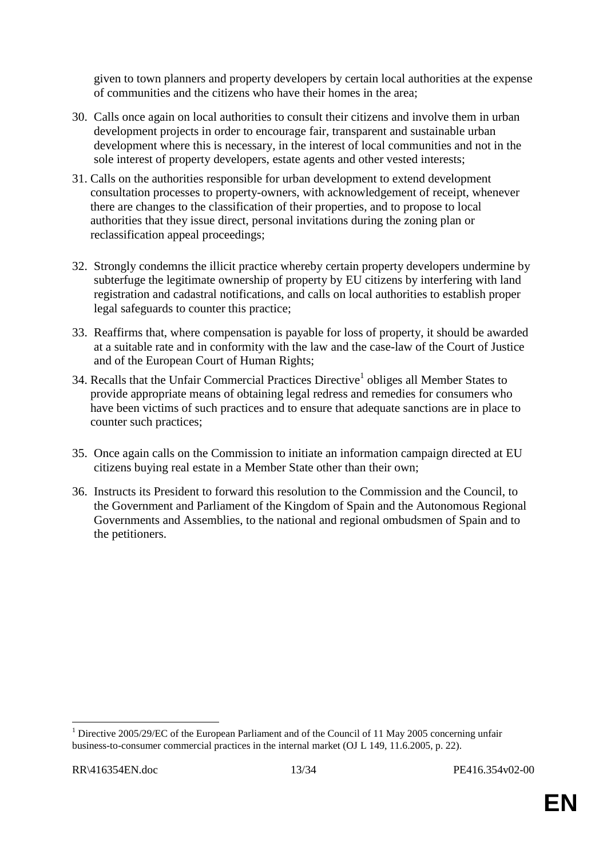given to town planners and property developers by certain local authorities at the expense of communities and the citizens who have their homes in the area;

- 30. Calls once again on local authorities to consult their citizens and involve them in urban development projects in order to encourage fair, transparent and sustainable urban development where this is necessary, in the interest of local communities and not in the sole interest of property developers, estate agents and other vested interests;
- 31. Calls on the authorities responsible for urban development to extend development consultation processes to property-owners, with acknowledgement of receipt, whenever there are changes to the classification of their properties, and to propose to local authorities that they issue direct, personal invitations during the zoning plan or reclassification appeal proceedings;
- 32. Strongly condemns the illicit practice whereby certain property developers undermine by subterfuge the legitimate ownership of property by EU citizens by interfering with land registration and cadastral notifications, and calls on local authorities to establish proper legal safeguards to counter this practice;
- 33. Reaffirms that, where compensation is payable for loss of property, it should be awarded at a suitable rate and in conformity with the law and the case-law of the Court of Justice and of the European Court of Human Rights;
- 34. Recalls that the Unfair Commercial Practices Directive<sup>1</sup> obliges all Member States to provide appropriate means of obtaining legal redress and remedies for consumers who have been victims of such practices and to ensure that adequate sanctions are in place to counter such practices;
- 35. Once again calls on the Commission to initiate an information campaign directed at EU citizens buying real estate in a Member State other than their own;
- 36. Instructs its President to forward this resolution to the Commission and the Council, to the Government and Parliament of the Kingdom of Spain and the Autonomous Regional Governments and Assemblies, to the national and regional ombudsmen of Spain and to the petitioners.

<sup>&</sup>lt;sup>1</sup> Directive 2005/29/EC of the European Parliament and of the Council of 11 May 2005 concerning unfair business-to-consumer commercial practices in the internal market (OJ L 149, 11.6.2005, p. 22).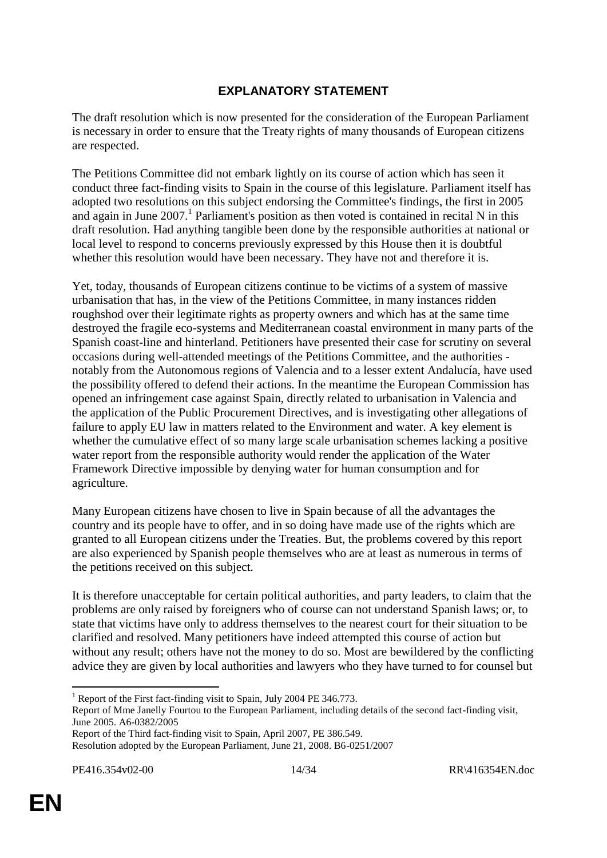# **EXPLANATORY STATEMENT**

The draft resolution which is now presented for the consideration of the European Parliament is necessary in order to ensure that the Treaty rights of many thousands of European citizens are respected.

The Petitions Committee did not embark lightly on its course of action which has seen it conduct three fact-finding visits to Spain in the course of this legislature. Parliament itself has adopted two resolutions on this subject endorsing the Committee's findings, the first in 2005 and again in June  $2007$ .<sup>1</sup> Parliament's position as then voted is contained in recital N in this draft resolution. Had anything tangible been done by the responsible authorities at national or local level to respond to concerns previously expressed by this House then it is doubtful whether this resolution would have been necessary. They have not and therefore it is.

Yet, today, thousands of European citizens continue to be victims of a system of massive urbanisation that has, in the view of the Petitions Committee, in many instances ridden roughshod over their legitimate rights as property owners and which has at the same time destroyed the fragile eco-systems and Mediterranean coastal environment in many parts of the Spanish coast-line and hinterland. Petitioners have presented their case for scrutiny on several occasions during well-attended meetings of the Petitions Committee, and the authorities notably from the Autonomous regions of Valencia and to a lesser extent Andalucía, have used the possibility offered to defend their actions. In the meantime the European Commission has opened an infringement case against Spain, directly related to urbanisation in Valencia and the application of the Public Procurement Directives, and is investigating other allegations of failure to apply EU law in matters related to the Environment and water. A key element is whether the cumulative effect of so many large scale urbanisation schemes lacking a positive water report from the responsible authority would render the application of the Water Framework Directive impossible by denying water for human consumption and for agriculture.

Many European citizens have chosen to live in Spain because of all the advantages the country and its people have to offer, and in so doing have made use of the rights which are granted to all European citizens under the Treaties. But, the problems covered by this report are also experienced by Spanish people themselves who are at least as numerous in terms of the petitions received on this subject.

It is therefore unacceptable for certain political authorities, and party leaders, to claim that the problems are only raised by foreigners who of course can not understand Spanish laws; or, to state that victims have only to address themselves to the nearest court for their situation to be clarified and resolved. Many petitioners have indeed attempted this course of action but without any result; others have not the money to do so. Most are bewildered by the conflicting advice they are given by local authorities and lawyers who they have turned to for counsel but

 $1$  Report of the First fact-finding visit to Spain, July 2004 PE 346.773.

Report of Mme Janelly Fourtou to the European Parliament, including details of the second fact-finding visit, June 2005. A6-0382/2005

Report of the Third fact-finding visit to Spain, April 2007, PE 386.549.

Resolution adopted by the European Parliament, June 21, 2008. B6-0251/2007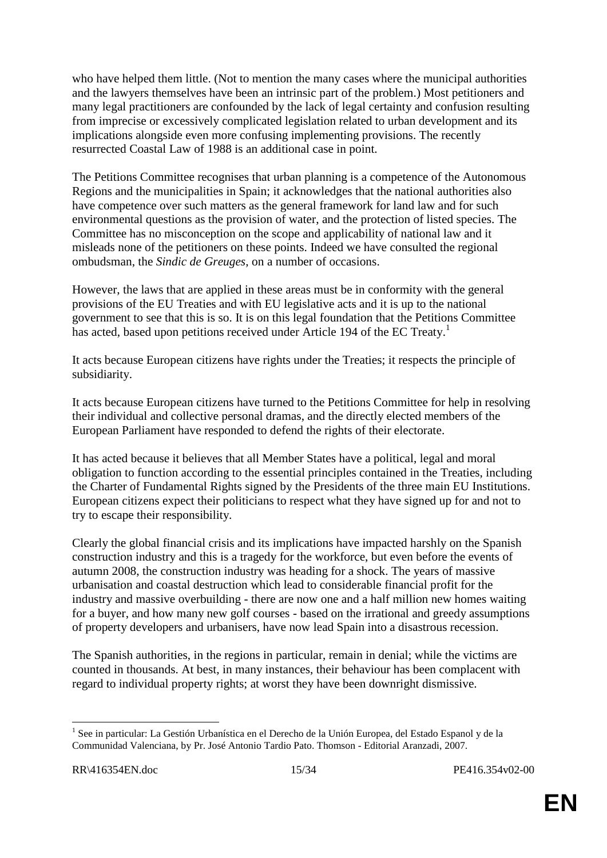who have helped them little. (Not to mention the many cases where the municipal authorities and the lawyers themselves have been an intrinsic part of the problem.) Most petitioners and many legal practitioners are confounded by the lack of legal certainty and confusion resulting from imprecise or excessively complicated legislation related to urban development and its implications alongside even more confusing implementing provisions. The recently resurrected Coastal Law of 1988 is an additional case in point.

The Petitions Committee recognises that urban planning is a competence of the Autonomous Regions and the municipalities in Spain; it acknowledges that the national authorities also have competence over such matters as the general framework for land law and for such environmental questions as the provision of water, and the protection of listed species. The Committee has no misconception on the scope and applicability of national law and it misleads none of the petitioners on these points. Indeed we have consulted the regional ombudsman, the *Sindic de Greuges*, on a number of occasions.

However, the laws that are applied in these areas must be in conformity with the general provisions of the EU Treaties and with EU legislative acts and it is up to the national government to see that this is so. It is on this legal foundation that the Petitions Committee has acted, based upon petitions received under Article 194 of the EC Treaty.<sup>1</sup>

It acts because European citizens have rights under the Treaties; it respects the principle of subsidiarity.

It acts because European citizens have turned to the Petitions Committee for help in resolving their individual and collective personal dramas, and the directly elected members of the European Parliament have responded to defend the rights of their electorate.

It has acted because it believes that all Member States have a political, legal and moral obligation to function according to the essential principles contained in the Treaties, including the Charter of Fundamental Rights signed by the Presidents of the three main EU Institutions. European citizens expect their politicians to respect what they have signed up for and not to try to escape their responsibility.

Clearly the global financial crisis and its implications have impacted harshly on the Spanish construction industry and this is a tragedy for the workforce, but even before the events of autumn 2008, the construction industry was heading for a shock. The years of massive urbanisation and coastal destruction which lead to considerable financial profit for the industry and massive overbuilding - there are now one and a half million new homes waiting for a buyer, and how many new golf courses - based on the irrational and greedy assumptions of property developers and urbanisers, have now lead Spain into a disastrous recession.

The Spanish authorities, in the regions in particular, remain in denial; while the victims are counted in thousands. At best, in many instances, their behaviour has been complacent with regard to individual property rights; at worst they have been downright dismissive.

<sup>&</sup>lt;sup>1</sup> See in particular: La Gestión Urbanística en el Derecho de la Unión Europea, del Estado Espanol y de la Communidad Valenciana, by Pr. José Antonio Tardio Pato. Thomson - Editorial Aranzadi, 2007.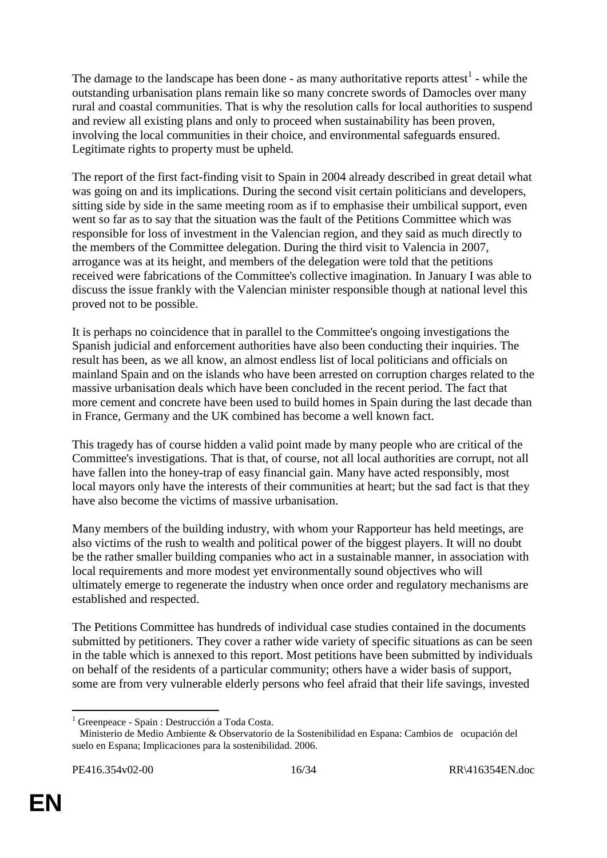The damage to the landscape has been done - as many authoritative reports attest<sup>1</sup> - while the outstanding urbanisation plans remain like so many concrete swords of Damocles over many rural and coastal communities. That is why the resolution calls for local authorities to suspend and review all existing plans and only to proceed when sustainability has been proven, involving the local communities in their choice, and environmental safeguards ensured. Legitimate rights to property must be upheld.

The report of the first fact-finding visit to Spain in 2004 already described in great detail what was going on and its implications. During the second visit certain politicians and developers, sitting side by side in the same meeting room as if to emphasise their umbilical support, even went so far as to say that the situation was the fault of the Petitions Committee which was responsible for loss of investment in the Valencian region, and they said as much directly to the members of the Committee delegation. During the third visit to Valencia in 2007, arrogance was at its height, and members of the delegation were told that the petitions received were fabrications of the Committee's collective imagination. In January I was able to discuss the issue frankly with the Valencian minister responsible though at national level this proved not to be possible.

It is perhaps no coincidence that in parallel to the Committee's ongoing investigations the Spanish judicial and enforcement authorities have also been conducting their inquiries. The result has been, as we all know, an almost endless list of local politicians and officials on mainland Spain and on the islands who have been arrested on corruption charges related to the massive urbanisation deals which have been concluded in the recent period. The fact that more cement and concrete have been used to build homes in Spain during the last decade than in France, Germany and the UK combined has become a well known fact.

This tragedy has of course hidden a valid point made by many people who are critical of the Committee's investigations. That is that, of course, not all local authorities are corrupt, not all have fallen into the honey-trap of easy financial gain. Many have acted responsibly, most local mayors only have the interests of their communities at heart; but the sad fact is that they have also become the victims of massive urbanisation.

Many members of the building industry, with whom your Rapporteur has held meetings, are also victims of the rush to wealth and political power of the biggest players. It will no doubt be the rather smaller building companies who act in a sustainable manner, in association with local requirements and more modest yet environmentally sound objectives who will ultimately emerge to regenerate the industry when once order and regulatory mechanisms are established and respected.

The Petitions Committee has hundreds of individual case studies contained in the documents submitted by petitioners. They cover a rather wide variety of specific situations as can be seen in the table which is annexed to this report. Most petitions have been submitted by individuals on behalf of the residents of a particular community; others have a wider basis of support, some are from very vulnerable elderly persons who feel afraid that their life savings, invested

<sup>&</sup>lt;sup>1</sup> Greenpeace - Spain : Destrucción a Toda Costa.

Ministerio de Medio Ambiente & Observatorio de la Sostenibilidad en Espana: Cambios de ocupación del suelo en Espana; Implicaciones para la sostenibilidad. 2006.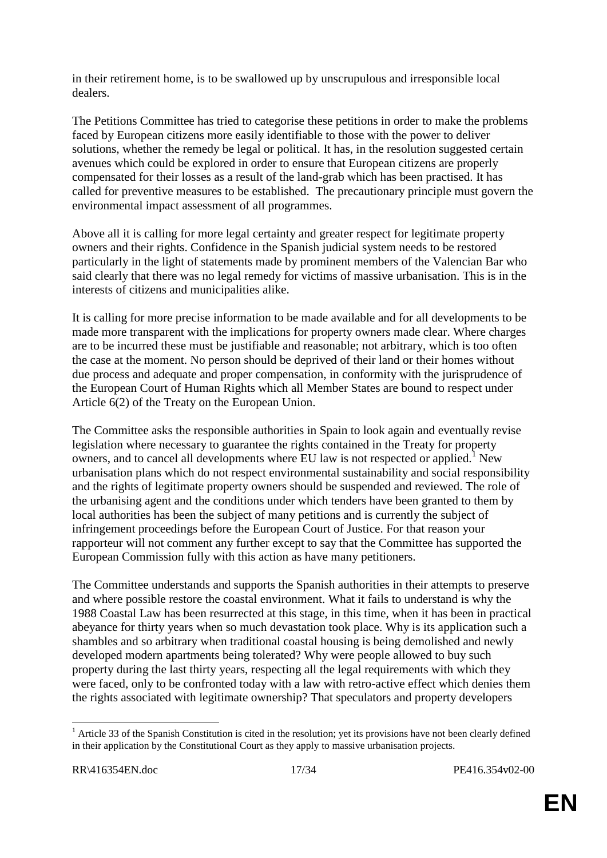in their retirement home, is to be swallowed up by unscrupulous and irresponsible local dealers.

The Petitions Committee has tried to categorise these petitions in order to make the problems faced by European citizens more easily identifiable to those with the power to deliver solutions, whether the remedy be legal or political. It has, in the resolution suggested certain avenues which could be explored in order to ensure that European citizens are properly compensated for their losses as a result of the land-grab which has been practised. It has called for preventive measures to be established. The precautionary principle must govern the environmental impact assessment of all programmes.

Above all it is calling for more legal certainty and greater respect for legitimate property owners and their rights. Confidence in the Spanish judicial system needs to be restored particularly in the light of statements made by prominent members of the Valencian Bar who said clearly that there was no legal remedy for victims of massive urbanisation. This is in the interests of citizens and municipalities alike.

It is calling for more precise information to be made available and for all developments to be made more transparent with the implications for property owners made clear. Where charges are to be incurred these must be justifiable and reasonable; not arbitrary, which is too often the case at the moment. No person should be deprived of their land or their homes without due process and adequate and proper compensation, in conformity with the jurisprudence of the European Court of Human Rights which all Member States are bound to respect under Article 6(2) of the Treaty on the European Union.

The Committee asks the responsible authorities in Spain to look again and eventually revise legislation where necessary to guarantee the rights contained in the Treaty for property owners, and to cancel all developments where EU law is not respected or applied.<sup>1</sup> New urbanisation plans which do not respect environmental sustainability and social responsibility and the rights of legitimate property owners should be suspended and reviewed. The role of the urbanising agent and the conditions under which tenders have been granted to them by local authorities has been the subject of many petitions and is currently the subject of infringement proceedings before the European Court of Justice. For that reason your rapporteur will not comment any further except to say that the Committee has supported the European Commission fully with this action as have many petitioners.

The Committee understands and supports the Spanish authorities in their attempts to preserve and where possible restore the coastal environment. What it fails to understand is why the 1988 Coastal Law has been resurrected at this stage, in this time, when it has been in practical abeyance for thirty years when so much devastation took place. Why is its application such a shambles and so arbitrary when traditional coastal housing is being demolished and newly developed modern apartments being tolerated? Why were people allowed to buy such property during the last thirty years, respecting all the legal requirements with which they were faced, only to be confronted today with a law with retro-active effect which denies them the rights associated with legitimate ownership? That speculators and property developers

 $<sup>1</sup>$  Article 33 of the Spanish Constitution is cited in the resolution; yet its provisions have not been clearly defined</sup> in their application by the Constitutional Court as they apply to massive urbanisation projects.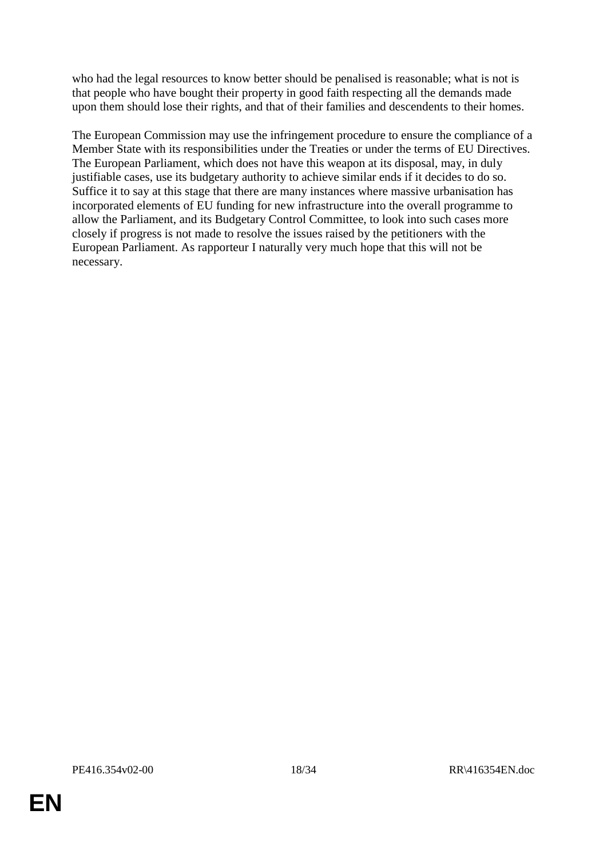who had the legal resources to know better should be penalised is reasonable; what is not is that people who have bought their property in good faith respecting all the demands made upon them should lose their rights, and that of their families and descendents to their homes.

The European Commission may use the infringement procedure to ensure the compliance of a Member State with its responsibilities under the Treaties or under the terms of EU Directives. The European Parliament, which does not have this weapon at its disposal, may, in duly justifiable cases, use its budgetary authority to achieve similar ends if it decides to do so. Suffice it to say at this stage that there are many instances where massive urbanisation has incorporated elements of EU funding for new infrastructure into the overall programme to allow the Parliament, and its Budgetary Control Committee, to look into such cases more closely if progress is not made to resolve the issues raised by the petitioners with the European Parliament. As rapporteur I naturally very much hope that this will not be necessary.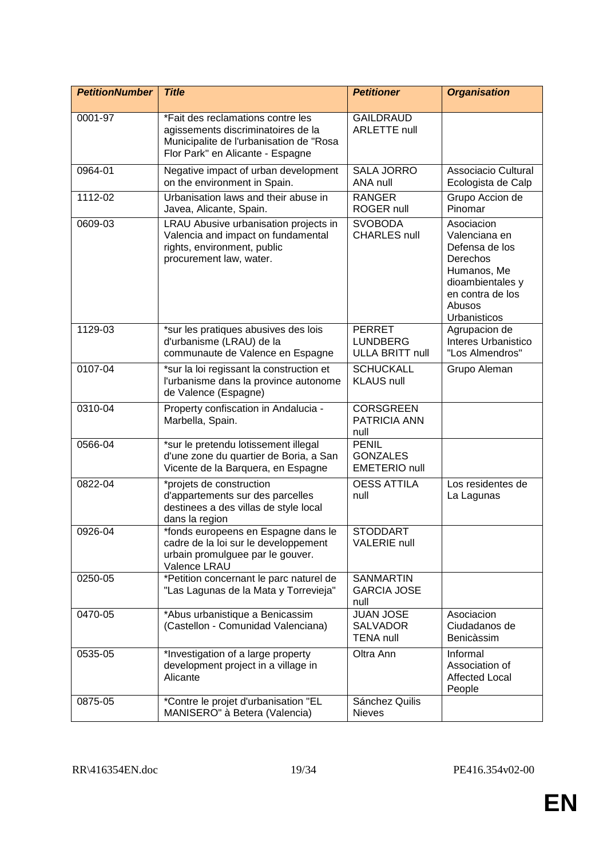| <b>PetitionNumber</b> | <b>Title</b>                                                                                                                                           | <b>Petitioner</b>                                          | <b>Organisation</b>                                                                                                                        |
|-----------------------|--------------------------------------------------------------------------------------------------------------------------------------------------------|------------------------------------------------------------|--------------------------------------------------------------------------------------------------------------------------------------------|
|                       |                                                                                                                                                        |                                                            |                                                                                                                                            |
| 0001-97               | *Fait des reclamations contre les<br>agissements discriminatoires de la<br>Municipalite de l'urbanisation de "Rosa<br>Flor Park" en Alicante - Espagne | <b>GAILDRAUD</b><br><b>ARLETTE null</b>                    |                                                                                                                                            |
| 0964-01               | Negative impact of urban development<br>on the environment in Spain.                                                                                   | <b>SALA JORRO</b><br>ANA null                              | Associacio Cultural<br>Ecologista de Calp                                                                                                  |
| 1112-02               | Urbanisation laws and their abuse in<br>Javea, Alicante, Spain.                                                                                        | <b>RANGER</b><br>ROGER null                                | Grupo Accion de<br>Pinomar                                                                                                                 |
| 0609-03               | LRAU Abusive urbanisation projects in<br>Valencia and impact on fundamental<br>rights, environment, public<br>procurement law, water.                  | <b>SVOBODA</b><br><b>CHARLES null</b>                      | Asociacion<br>Valenciana en<br>Defensa de los<br>Derechos<br>Humanos, Me<br>dioambientales y<br>en contra de los<br>Abusos<br>Urbanisticos |
| 1129-03               | *sur les pratiques abusives des lois<br>d'urbanisme (LRAU) de la<br>communaute de Valence en Espagne                                                   | <b>PERRET</b><br><b>LUNDBERG</b><br><b>ULLA BRITT null</b> | Agrupacion de<br>Interes Urbanistico<br>"Los Almendros"                                                                                    |
| 0107-04               | *sur la loi regissant la construction et<br>l'urbanisme dans la province autonome<br>de Valence (Espagne)                                              | <b>SCHUCKALL</b><br><b>KLAUS null</b>                      | Grupo Aleman                                                                                                                               |
| 0310-04               | Property confiscation in Andalucia -<br>Marbella, Spain.                                                                                               | <b>CORSGREEN</b><br>PATRICIA ANN<br>null                   |                                                                                                                                            |
| 0566-04               | *sur le pretendu lotissement illegal<br>d'une zone du quartier de Boria, a San<br>Vicente de la Barquera, en Espagne                                   | <b>PENIL</b><br><b>GONZALES</b><br><b>EMETERIO null</b>    |                                                                                                                                            |
| 0822-04               | *projets de construction<br>d'appartements sur des parcelles<br>destinees a des villas de style local<br>dans la region                                | <b>OESS ATTILA</b><br>null                                 | Los residentes de<br>La Lagunas                                                                                                            |
| 0926-04               | *fonds europeens en Espagne dans le<br>cadre de la loi sur le developpement<br>urbain promulguee par le gouver.<br>Valence LRAU                        | <b>STODDART</b><br><b>VALERIE null</b>                     |                                                                                                                                            |
| 0250-05               | *Petition concernant le parc naturel de<br>"Las Lagunas de la Mata y Torrevieja"                                                                       | <b>SANMARTIN</b><br><b>GARCIA JOSE</b><br>null             |                                                                                                                                            |
| 0470-05               | *Abus urbanistique a Benicassim<br>(Castellon - Comunidad Valenciana)                                                                                  | <b>JUAN JOSE</b><br><b>SALVADOR</b><br><b>TENA null</b>    | Asociacion<br>Ciudadanos de<br>Benicàssim                                                                                                  |
| 0535-05               | *Investigation of a large property<br>development project in a village in<br>Alicante                                                                  | Oltra Ann                                                  | Informal<br>Association of<br><b>Affected Local</b><br>People                                                                              |
| 0875-05               | *Contre le projet d'urbanisation "EL<br>MANISERO" à Betera (Valencia)                                                                                  | Sánchez Quilis<br><b>Nieves</b>                            |                                                                                                                                            |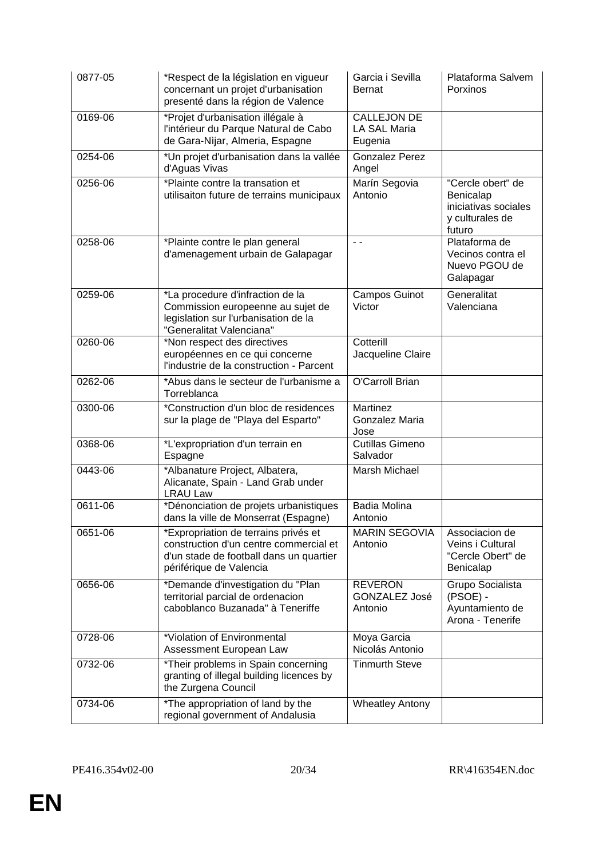| 0877-05 | *Respect de la législation en vigueur<br>concernant un projet d'urbanisation<br>presenté dans la région de Valence                                   | Garcia i Sevilla<br><b>Bernat</b>                    | Plataforma Salvem<br>Porxinos                                                       |
|---------|------------------------------------------------------------------------------------------------------------------------------------------------------|------------------------------------------------------|-------------------------------------------------------------------------------------|
| 0169-06 | *Projet d'urbanisation illégale à<br>l'intérieur du Parque Natural de Cabo<br>de Gara-Nijar, Almeria, Espagne                                        | <b>CALLEJON DE</b><br><b>LA SAL Maria</b><br>Eugenia |                                                                                     |
| 0254-06 | *Un projet d'urbanisation dans la vallée<br>d'Aguas Vivas                                                                                            | <b>Gonzalez Perez</b><br>Angel                       |                                                                                     |
| 0256-06 | *Plainte contre la transation et<br>utilisaiton future de terrains municipaux                                                                        | Marín Segovia<br>Antonio                             | "Cercle obert" de<br>Benicalap<br>iniciativas sociales<br>y culturales de<br>futuro |
| 0258-06 | *Plainte contre le plan general<br>d'amenagement urbain de Galapagar                                                                                 | $\sim$ $\sim$                                        | Plataforma de<br>Vecinos contra el<br>Nuevo PGOU de<br>Galapagar                    |
| 0259-06 | *La procedure d'infraction de la<br>Commission europeenne au sujet de<br>legislation sur l'urbanisation de la<br>"Generalitat Valenciana"            | Campos Guinot<br>Victor                              | Generalitat<br>Valenciana                                                           |
| 0260-06 | *Non respect des directives<br>européennes en ce qui concerne<br>l'industrie de la construction - Parcent                                            | Cotterill<br>Jacqueline Claire                       |                                                                                     |
| 0262-06 | *Abus dans le secteur de l'urbanisme a<br>Torreblanca                                                                                                | O'Carroll Brian                                      |                                                                                     |
| 0300-06 | *Construction d'un bloc de residences<br>sur la plage de "Playa del Esparto"                                                                         | Martinez<br>Gonzalez Maria<br>Jose                   |                                                                                     |
| 0368-06 | *L'expropriation d'un terrain en<br>Espagne                                                                                                          | <b>Cutillas Gimeno</b><br>Salvador                   |                                                                                     |
| 0443-06 | *Albanature Project, Albatera,<br>Alicanate, Spain - Land Grab under<br><b>LRAU Law</b>                                                              | Marsh Michael                                        |                                                                                     |
| 0611-06 | *Dénonciation de projets urbanistiques<br>dans la ville de Monserrat (Espagne)                                                                       | Badia Molina<br>Antonio                              |                                                                                     |
| 0651-06 | *Expropriation de terrains privés et<br>construction d'un centre commercial et<br>d'un stade de football dans un quartier<br>périférique de Valencia | <b>MARIN SEGOVIA</b><br>Antonio                      | Associacion de<br>Veins i Cultural<br>"Cercle Obert" de<br>Benicalap                |
| 0656-06 | *Demande d'investigation du "Plan<br>territorial parcial de ordenacion<br>caboblanco Buzanada" à Teneriffe                                           | <b>REVERON</b><br><b>GONZALEZ José</b><br>Antonio    | Grupo Socialista<br>(PSOE) -<br>Ayuntamiento de<br>Arona - Tenerife                 |
| 0728-06 | *Violation of Environmental<br>Assessment European Law                                                                                               | Moya Garcia<br>Nicolás Antonio                       |                                                                                     |
| 0732-06 | *Their problems in Spain concerning<br>granting of illegal building licences by<br>the Zurgena Council                                               | <b>Tinmurth Steve</b>                                |                                                                                     |
| 0734-06 | *The appropriation of land by the<br>regional government of Andalusia                                                                                | <b>Wheatley Antony</b>                               |                                                                                     |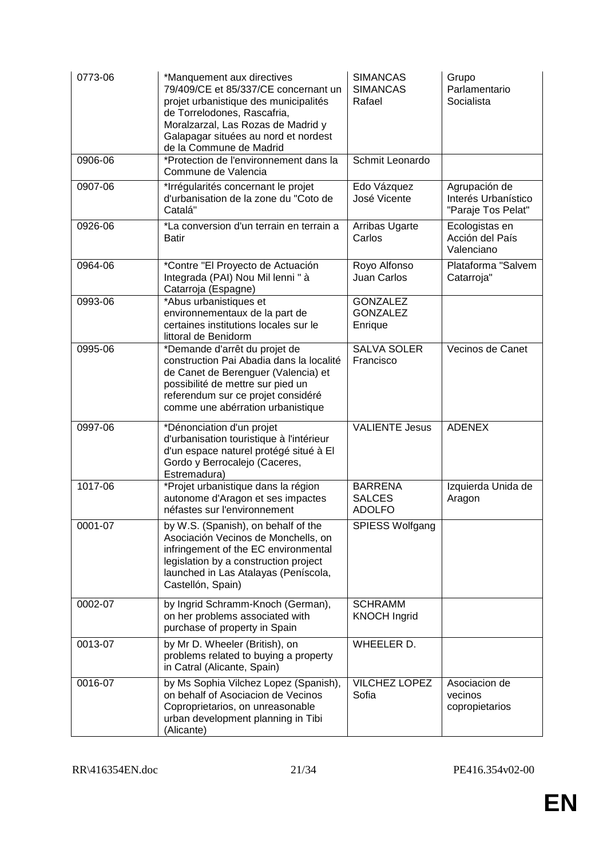| 0773-06     | *Manquement aux directives<br>79/409/CE et 85/337/CE concernant un<br>projet urbanistique des municipalités<br>de Torrelodones, Rascafria,<br>Moralzarzal, Las Rozas de Madrid y<br>Galapagar situées au nord et nordest<br>de la Commune de Madrid | <b>SIMANCAS</b><br><b>SIMANCAS</b><br>Rafael     | Grupo<br>Parlamentario<br>Socialista                       |
|-------------|-----------------------------------------------------------------------------------------------------------------------------------------------------------------------------------------------------------------------------------------------------|--------------------------------------------------|------------------------------------------------------------|
| 0906-06     | *Protection de l'environnement dans la<br>Commune de Valencia                                                                                                                                                                                       | Schmit Leonardo                                  |                                                            |
| 0907-06     | *Irrégularités concernant le projet<br>d'urbanisation de la zone du "Coto de<br>Catalá"                                                                                                                                                             | Edo Vázquez<br>José Vicente                      | Agrupación de<br>Interés Urbanístico<br>"Paraje Tos Pelat" |
| 0926-06     | *La conversion d'un terrain en terrain a<br><b>Batir</b>                                                                                                                                                                                            | Arribas Ugarte<br>Carlos                         | Ecologistas en<br>Acción del País<br>Valenciano            |
| 0964-06     | *Contre "El Proyecto de Actuación<br>Integrada (PAI) Nou Mil lenni "à<br>Catarroja (Espagne)                                                                                                                                                        | Royo Alfonso<br><b>Juan Carlos</b>               | Plataforma "Salvem<br>Catarroja"                           |
| 0993-06     | *Abus urbanistiques et<br>environnementaux de la part de<br>certaines institutions locales sur le<br>littoral de Benidorm                                                                                                                           | <b>GONZALEZ</b><br><b>GONZALEZ</b><br>Enrique    |                                                            |
| 0995-06     | *Demande d'arrêt du projet de<br>construction Pai Abadia dans la localité<br>de Canet de Berenguer (Valencia) et<br>possibilité de mettre sur pied un<br>referendum sur ce projet considéré<br>comme une abérration urbanistique                    | <b>SALVA SOLER</b><br>Francisco                  | Vecinos de Canet                                           |
| 0997-06     | *Dénonciation d'un projet<br>d'urbanisation touristique à l'intérieur<br>d'un espace naturel protégé situé à El<br>Gordo y Berrocalejo (Caceres,<br>Estremadura)                                                                                    | <b>VALIENTE Jesus</b>                            | <b>ADENEX</b>                                              |
| 1017-06     | *Projet urbanistique dans la région<br>autonome d'Aragon et ses impactes<br>néfastes sur l'environnement                                                                                                                                            | <b>BARRENA</b><br><b>SALCES</b><br><b>ADOLFO</b> | Izquierda Unida de<br>Aragon                               |
| $0001 - 07$ | by W.S. (Spanish), on behalf of the<br>Asociación Vecinos de Monchells, on<br>infringement of the EC environmental<br>legislation by a construction project<br>launched in Las Atalayas (Peníscola,<br>Castellón, Spain)                            | <b>SPIESS Wolfgang</b>                           |                                                            |
| 0002-07     | by Ingrid Schramm-Knoch (German),<br>on her problems associated with<br>purchase of property in Spain                                                                                                                                               | <b>SCHRAMM</b><br><b>KNOCH Ingrid</b>            |                                                            |
| 0013-07     | by Mr D. Wheeler (British), on<br>problems related to buying a property<br>in Catral (Alicante, Spain)                                                                                                                                              | WHEELER D.                                       |                                                            |
| 0016-07     | by Ms Sophia Vilchez Lopez (Spanish),<br>on behalf of Asociacion de Vecinos<br>Coproprietarios, on unreasonable<br>urban development planning in Tibi<br>(Alicante)                                                                                 | VILCHEZ LOPEZ<br>Sofia                           | Asociacion de<br>vecinos<br>copropietarios                 |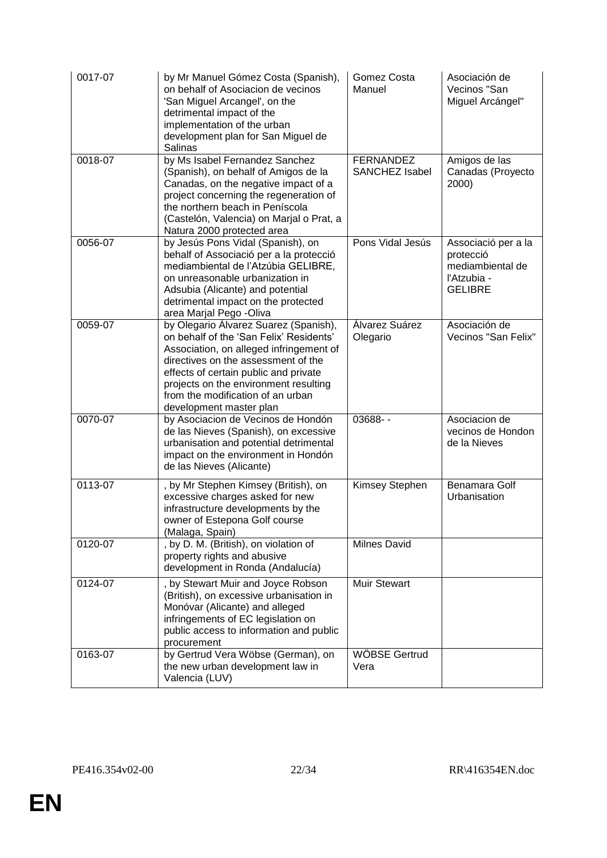| 0017-07 | by Mr Manuel Gómez Costa (Spanish),<br>on behalf of Asociacion de vecinos<br>'San Miguel Arcangel', on the<br>detrimental impact of the<br>implementation of the urban<br>development plan for San Miguel de<br>Salinas                                                                                              | Gomez Costa<br>Manuel              | Asociación de<br>Vecinos "San<br>Miguel Arcángel"                                     |
|---------|----------------------------------------------------------------------------------------------------------------------------------------------------------------------------------------------------------------------------------------------------------------------------------------------------------------------|------------------------------------|---------------------------------------------------------------------------------------|
| 0018-07 | by Ms Isabel Fernandez Sanchez<br>(Spanish), on behalf of Amigos de la<br>Canadas, on the negative impact of a<br>project concerning the regeneration of<br>the northern beach in Peníscola<br>(Castelón, Valencia) on Marjal o Prat, a<br>Natura 2000 protected area                                                | <b>FERNANDEZ</b><br>SANCHEZ Isabel | Amigos de las<br>Canadas (Proyecto<br>2000)                                           |
| 0056-07 | by Jesús Pons Vidal (Spanish), on<br>behalf of Associació per a la protecció<br>mediambiental de l'Atzúbia GELIBRE,<br>on unreasonable urbanization in<br>Adsubia (Alicante) and potential<br>detrimental impact on the protected<br>area Marjal Pego -Oliva                                                         | Pons Vidal Jesús                   | Associació per a la<br>protecció<br>mediambiental de<br>l'Atzubia -<br><b>GELIBRE</b> |
| 0059-07 | by Olegario Álvarez Suarez (Spanish),<br>on behalf of the 'San Felix' Residents'<br>Association, on alleged infringement of<br>directives on the assessment of the<br>effects of certain public and private<br>projects on the environment resulting<br>from the modification of an urban<br>development master plan | Álvarez Suárez<br>Olegario         | Asociación de<br>Vecinos "San Felix"                                                  |
| 0070-07 | by Asociacion de Vecinos de Hondón<br>de las Nieves (Spanish), on excessive<br>urbanisation and potential detrimental<br>impact on the environment in Hondón<br>de las Nieves (Alicante)                                                                                                                             | 03688--                            | Asociacion de<br>vecinos de Hondon<br>de la Nieves                                    |
| 0113-07 | , by Mr Stephen Kimsey (British), on<br>excessive charges asked for new<br>infrastructure developments by the<br>owner of Estepona Golf course<br>(Malaga, Spain)                                                                                                                                                    | Kimsey Stephen                     | Benamara Golf<br>Urbanisation                                                         |
| 0120-07 | , by D. M. (British), on violation of<br>property rights and abusive<br>development in Ronda (Andalucía)                                                                                                                                                                                                             | <b>Milnes David</b>                |                                                                                       |
| 0124-07 | , by Stewart Muir and Joyce Robson<br>(British), on excessive urbanisation in<br>Monóvar (Alicante) and alleged<br>infringements of EC legislation on<br>public access to information and public<br>procurement                                                                                                      | <b>Muir Stewart</b>                |                                                                                       |
| 0163-07 | by Gertrud Vera Wöbse (German), on<br>the new urban development law in<br>Valencia (LUV)                                                                                                                                                                                                                             | WÖBSE Gertrud<br>Vera              |                                                                                       |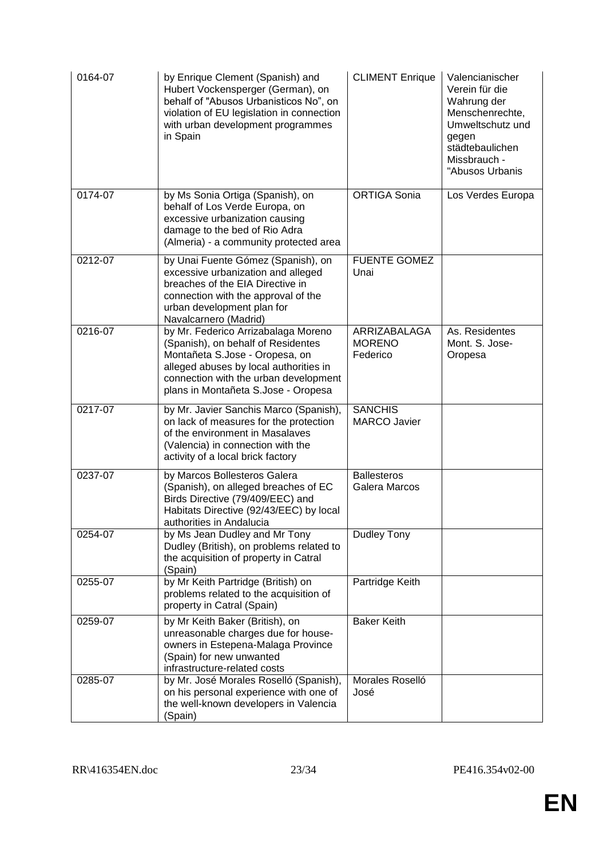| 0164-07 | by Enrique Clement (Spanish) and<br>Hubert Vockensperger (German), on<br>behalf of "Abusos Urbanisticos No", on<br>violation of EU legislation in connection<br>with urban development programmes<br>in Spain                         | <b>CLIMENT Enrique</b>                    | Valencianischer<br>Verein für die<br>Wahrung der<br>Menschenrechte,<br>Umweltschutz und<br>gegen<br>städtebaulichen<br>Missbrauch -<br>"Abusos Urbanis |
|---------|---------------------------------------------------------------------------------------------------------------------------------------------------------------------------------------------------------------------------------------|-------------------------------------------|--------------------------------------------------------------------------------------------------------------------------------------------------------|
| 0174-07 | by Ms Sonia Ortiga (Spanish), on<br>behalf of Los Verde Europa, on<br>excessive urbanization causing<br>damage to the bed of Rio Adra<br>(Almeria) - a community protected area                                                       | <b>ORTIGA Sonia</b>                       | Los Verdes Europa                                                                                                                                      |
| 0212-07 | by Unai Fuente Gómez (Spanish), on<br>excessive urbanization and alleged<br>breaches of the EIA Directive in<br>connection with the approval of the<br>urban development plan for<br>Navalcarnero (Madrid)                            | <b>FUENTE GOMEZ</b><br>Unai               |                                                                                                                                                        |
| 0216-07 | by Mr. Federico Arrizabalaga Moreno<br>(Spanish), on behalf of Residentes<br>Montañeta S.Jose - Oropesa, on<br>alleged abuses by local authorities in<br>connection with the urban development<br>plans in Montañeta S.Jose - Oropesa | ARRIZABALAGA<br><b>MORENO</b><br>Federico | As. Residentes<br>Mont. S. Jose-<br>Oropesa                                                                                                            |
| 0217-07 | by Mr. Javier Sanchis Marco (Spanish),<br>on lack of measures for the protection<br>of the environment in Masalaves<br>(Valencia) in connection with the<br>activity of a local brick factory                                         | <b>SANCHIS</b><br><b>MARCO Javier</b>     |                                                                                                                                                        |
| 0237-07 | by Marcos Bollesteros Galera<br>(Spanish), on alleged breaches of EC<br>Birds Directive (79/409/EEC) and<br>Habitats Directive (92/43/EEC) by local<br>authorities in Andalucia                                                       | <b>Ballesteros</b><br>Galera Marcos       |                                                                                                                                                        |
| 0254-07 | by Ms Jean Dudley and Mr Tony<br>Dudley (British), on problems related to<br>the acquisition of property in Catral<br>(Spain)                                                                                                         | Dudley Tony                               |                                                                                                                                                        |
| 0255-07 | by Mr Keith Partridge (British) on<br>problems related to the acquisition of<br>property in Catral (Spain)                                                                                                                            | Partridge Keith                           |                                                                                                                                                        |
| 0259-07 | by Mr Keith Baker (British), on<br>unreasonable charges due for house-<br>owners in Estepena-Malaga Province<br>(Spain) for new unwanted<br>infrastructure-related costs                                                              | <b>Baker Keith</b>                        |                                                                                                                                                        |
| 0285-07 | by Mr. José Morales Roselló (Spanish),<br>on his personal experience with one of<br>the well-known developers in Valencia<br>(Spain)                                                                                                  | Morales Roselló<br>José                   |                                                                                                                                                        |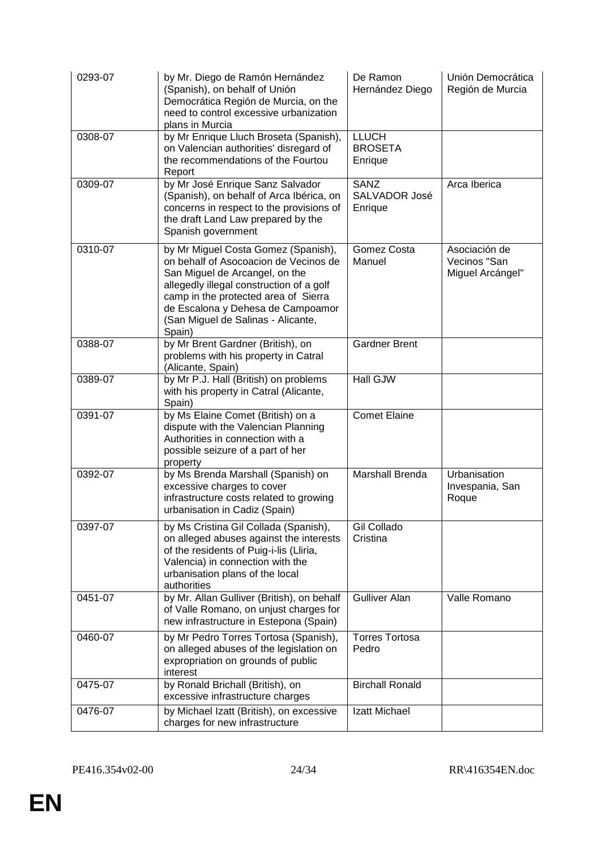| 0293-07 | by Mr. Diego de Ramón Hernández<br>(Spanish), on behalf of Unión<br>Democrática Región de Murcia, on the<br>need to control excessive urbanization<br>plans in Murcia                                                                                                                   | De Ramon<br>Hernández Diego               | Unión Democrática<br>Región de Murcia             |
|---------|-----------------------------------------------------------------------------------------------------------------------------------------------------------------------------------------------------------------------------------------------------------------------------------------|-------------------------------------------|---------------------------------------------------|
| 0308-07 | by Mr Enrique Lluch Broseta (Spanish),<br>on Valencian authorities' disregard of<br>the recommendations of the Fourtou<br>Report                                                                                                                                                        | <b>LLUCH</b><br><b>BROSETA</b><br>Enrique |                                                   |
| 0309-07 | by Mr José Enrique Sanz Salvador<br>(Spanish), on behalf of Arca Ibérica, on<br>concerns in respect to the provisions of<br>the draft Land Law prepared by the<br>Spanish government                                                                                                    | <b>SANZ</b><br>SALVADOR José<br>Enrique   | Arca Iberica                                      |
| 0310-07 | by Mr Miguel Costa Gomez (Spanish),<br>on behalf of Asocoacion de Vecinos de<br>San Miguel de Arcangel, on the<br>allegedly illegal construction of a golf<br>camp in the protected area of Sierra<br>de Escalona y Dehesa de Campoamor<br>(San Miguel de Salinas - Alicante,<br>Spain) | Gomez Costa<br>Manuel                     | Asociación de<br>Vecinos "San<br>Miguel Arcángel" |
| 0388-07 | by Mr Brent Gardner (British), on<br>problems with his property in Catral<br>(Alicante, Spain)                                                                                                                                                                                          | <b>Gardner Brent</b>                      |                                                   |
| 0389-07 | by Mr P.J. Hall (British) on problems<br>with his property in Catral (Alicante,<br>Spain)                                                                                                                                                                                               | <b>Hall GJW</b>                           |                                                   |
| 0391-07 | by Ms Elaine Comet (British) on a<br>dispute with the Valencian Planning<br>Authorities in connection with a<br>possible seizure of a part of her<br>property                                                                                                                           | <b>Comet Elaine</b>                       |                                                   |
| 0392-07 | by Ms Brenda Marshall (Spanish) on<br>excessive charges to cover<br>infrastructure costs related to growing<br>urbanisation in Cadiz (Spain)                                                                                                                                            | <b>Marshall Brenda</b>                    | Urbanisation<br>Invespania, San<br>Roque          |
| 0397-07 | by Ms Cristina Gil Collada (Spanish),<br>on alleged abuses against the interests<br>of the residents of Puig-i-lis (Lliria,<br>Valencia) in connection with the<br>urbanisation plans of the local<br>authorities                                                                       | Gil Collado<br>Cristina                   |                                                   |
| 0451-07 | by Mr. Allan Gulliver (British), on behalf<br>of Valle Romano, on unjust charges for<br>new infrastructure in Estepona (Spain)                                                                                                                                                          | <b>Gulliver Alan</b>                      | Valle Romano                                      |
| 0460-07 | by Mr Pedro Torres Tortosa (Spanish),<br>on alleged abuses of the legislation on<br>expropriation on grounds of public<br>interest                                                                                                                                                      | <b>Torres Tortosa</b><br>Pedro            |                                                   |
| 0475-07 | by Ronald Brichall (British), on<br>excessive infrastructure charges                                                                                                                                                                                                                    | <b>Birchall Ronald</b>                    |                                                   |
| 0476-07 | by Michael Izatt (British), on excessive<br>charges for new infrastructure                                                                                                                                                                                                              | Izatt Michael                             |                                                   |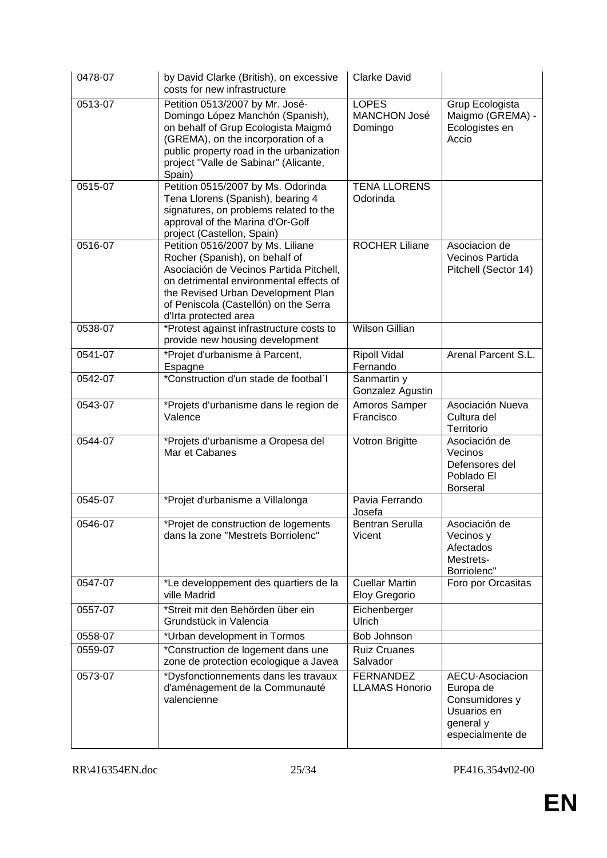| 0478-07 | by David Clarke (British), on excessive<br>costs for new infrastructure                                                                                                                                                                                           | <b>Clarke David</b>                            |                                                                                                |
|---------|-------------------------------------------------------------------------------------------------------------------------------------------------------------------------------------------------------------------------------------------------------------------|------------------------------------------------|------------------------------------------------------------------------------------------------|
| 0513-07 | Petition 0513/2007 by Mr. José-<br>Domingo López Manchón (Spanish),<br>on behalf of Grup Ecologista Maigmó<br>(GREMA), on the incorporation of a<br>public property road in the urbanization<br>project "Valle de Sabinar" (Alicante,<br>Spain)                   | <b>LOPES</b><br><b>MANCHON José</b><br>Domingo | Grup Ecologista<br>Maigmo (GREMA) -<br>Ecologistes en<br>Accio                                 |
| 0515-07 | Petition 0515/2007 by Ms. Odorinda<br>Tena Llorens (Spanish), bearing 4<br>signatures, on problems related to the<br>approval of the Marina d'Or-Golf<br>project (Castellon, Spain)                                                                               | <b>TENA LLORENS</b><br>Odorinda                |                                                                                                |
| 0516-07 | Petition 0516/2007 by Ms. Liliane<br>Rocher (Spanish), on behalf of<br>Asociación de Vecinos Partida Pitchell,<br>on detrimental environmental effects of<br>the Revised Urban Development Plan<br>of Peniscola (Castellón) on the Serra<br>d'Irta protected area | <b>ROCHER Liliane</b>                          | Asociacion de<br>Vecinos Partida<br>Pitchell (Sector 14)                                       |
| 0538-07 | *Protest against infrastructure costs to<br>provide new housing development                                                                                                                                                                                       | <b>Wilson Gillian</b>                          |                                                                                                |
| 0541-07 | *Projet d'urbanisme à Parcent,<br>Espagne                                                                                                                                                                                                                         | <b>Ripoll Vidal</b><br>Fernando                | Arenal Parcent S.L.                                                                            |
| 0542-07 | *Construction d'un stade de footbal`l                                                                                                                                                                                                                             | Sanmartin y<br>Gonzalez Agustin                |                                                                                                |
| 0543-07 | *Projets d'urbanisme dans le region de<br>Valence                                                                                                                                                                                                                 | Amoros Samper<br>Francisco                     | Asociación Nueva<br>Cultura del<br>Territorio                                                  |
| 0544-07 | *Projets d'urbanisme a Oropesa del<br>Mar et Cabanes                                                                                                                                                                                                              | Votron Brigitte                                | Asociación de<br>Vecinos<br>Defensores del<br>Poblado El<br><b>Borseral</b>                    |
| 0545-07 | *Projet d'urbanisme a Villalonga                                                                                                                                                                                                                                  | Pavia Ferrando<br>Josefa                       |                                                                                                |
| 0546-07 | *Projet de construction de logements<br>dans la zone "Mestrets Borriolenc"                                                                                                                                                                                        | <b>Bentran Serulla</b><br>Vicent               | Asociación de<br>Vecinos y<br>Afectados<br>Mestrets-<br>Borriolenc"                            |
| 0547-07 | *Le developpement des quartiers de la<br>ville Madrid                                                                                                                                                                                                             | <b>Cuellar Martin</b><br>Eloy Gregorio         | Foro por Orcasitas                                                                             |
| 0557-07 | *Streit mit den Behörden über ein<br>Grundstück in Valencia                                                                                                                                                                                                       | Eichenberger<br>Ulrich                         |                                                                                                |
| 0558-07 | *Urban development in Tormos                                                                                                                                                                                                                                      | Bob Johnson                                    |                                                                                                |
| 0559-07 | *Construction de logement dans une<br>zone de protection ecologique a Javea                                                                                                                                                                                       | <b>Ruiz Cruanes</b><br>Salvador                |                                                                                                |
| 0573-07 | *Dysfonctionnements dans les travaux<br>d'aménagement de la Communauté<br>valencienne                                                                                                                                                                             | <b>FERNANDEZ</b><br><b>LLAMAS Honorio</b>      | AECU-Asociacion<br>Europa de<br>Consumidores y<br>Usuarios en<br>general y<br>especialmente de |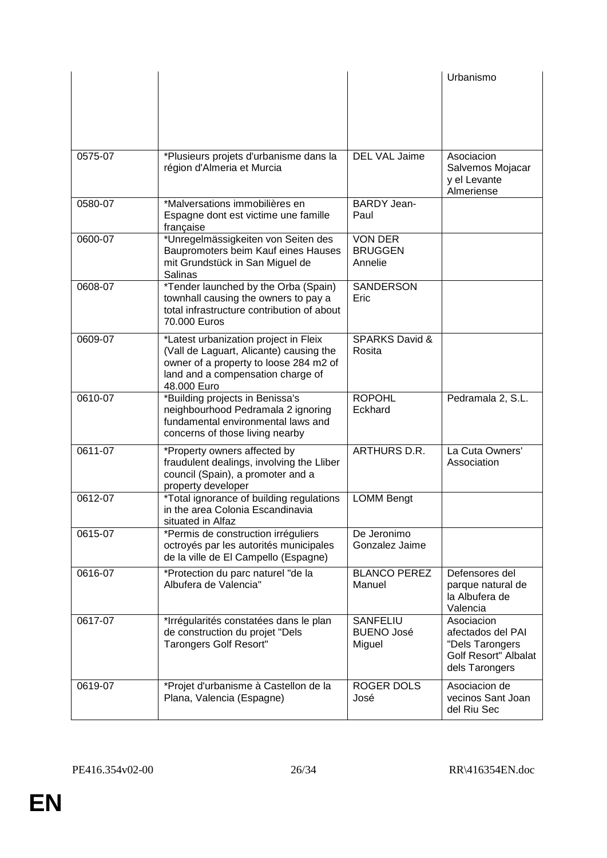|         |                                                                                                                                                                                |                                                | Urbanismo                                                                                           |
|---------|--------------------------------------------------------------------------------------------------------------------------------------------------------------------------------|------------------------------------------------|-----------------------------------------------------------------------------------------------------|
| 0575-07 | *Plusieurs projets d'urbanisme dans la<br>région d'Almeria et Murcia                                                                                                           | <b>DEL VAL Jaime</b>                           | Asociacion<br>Salvemos Mojacar<br>y el Levante<br>Almeriense                                        |
| 0580-07 | *Malversations immobilières en<br>Espagne dont est victime une famille<br>française                                                                                            | <b>BARDY Jean-</b><br>Paul                     |                                                                                                     |
| 0600-07 | *Unregelmässigkeiten von Seiten des<br>Baupromoters beim Kauf eines Hauses<br>mit Grundstück in San Miguel de<br>Salinas                                                       | <b>VON DER</b><br><b>BRUGGEN</b><br>Annelie    |                                                                                                     |
| 0608-07 | *Tender launched by the Orba (Spain)<br>townhall causing the owners to pay a<br>total infrastructure contribution of about<br>70.000 Euros                                     | SANDERSON<br>Eric                              |                                                                                                     |
| 0609-07 | *Latest urbanization project in Fleix<br>(Vall de Laguart, Alicante) causing the<br>owner of a property to loose 284 m2 of<br>land and a compensation charge of<br>48.000 Euro | <b>SPARKS David &amp;</b><br>Rosita            |                                                                                                     |
| 0610-07 | *Building projects in Benissa's<br>neighbourhood Pedramala 2 ignoring<br>fundamental environmental laws and<br>concerns of those living nearby                                 | <b>ROPOHL</b><br>Eckhard                       | Pedramala 2, S.L.                                                                                   |
| 0611-07 | *Property owners affected by<br>fraudulent dealings, involving the Lliber<br>council (Spain), a promoter and a<br>property developer                                           | ARTHURS D.R.                                   | La Cuta Owners'<br>Association                                                                      |
| 0612-07 | *Total ignorance of building regulations<br>in the area Colonia Escandinavia<br>situated in Alfaz                                                                              | <b>LOMM Bengt</b>                              |                                                                                                     |
| 0615-07 | *Permis de construction irréguliers<br>octroyés par les autorités municipales<br>de la ville de El Campello (Espagne)                                                          | De Jeronimo<br>Gonzalez Jaime                  |                                                                                                     |
| 0616-07 | *Protection du parc naturel "de la<br>Albufera de Valencia"                                                                                                                    | <b>BLANCO PEREZ</b><br>Manuel                  | Defensores del<br>parque natural de<br>la Albufera de<br>Valencia                                   |
| 0617-07 | *Irrégularités constatées dans le plan<br>de construction du projet "Dels<br><b>Tarongers Golf Resort"</b>                                                                     | <b>SANFELIU</b><br><b>BUENO José</b><br>Miguel | Asociacion<br>afectados del PAI<br>"Dels Tarongers<br><b>Golf Resort" Albalat</b><br>dels Tarongers |
| 0619-07 | *Projet d'urbanisme à Castellon de la<br>Plana, Valencia (Espagne)                                                                                                             | <b>ROGER DOLS</b><br>José                      | Asociacion de<br>vecinos Sant Joan<br>del Riu Sec                                                   |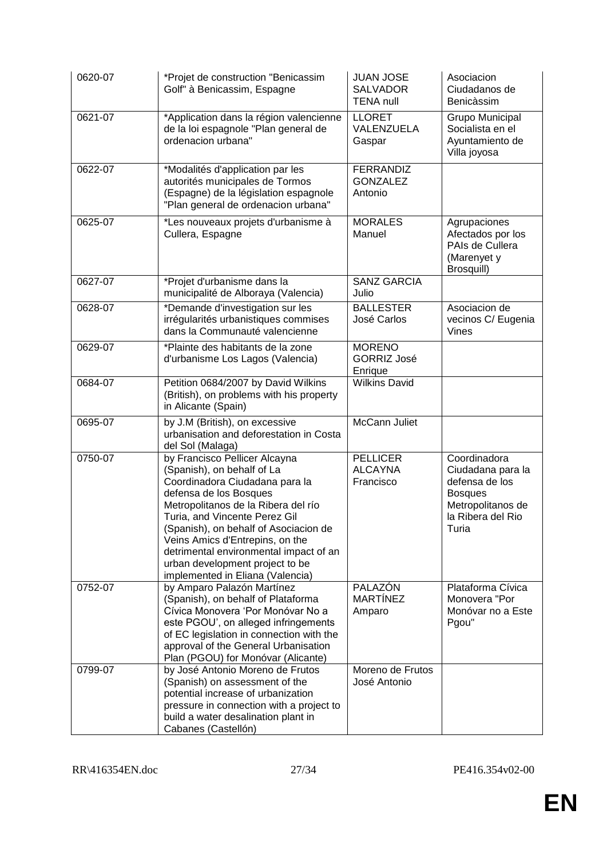| 0620-07 | *Projet de construction "Benicassim<br>Golf" à Benicassim, Espagne                                                                                                                                                                                                                                                                                                                           | <b>JUAN JOSE</b><br><b>SALVADOR</b><br><b>TENA null</b> | Asociacion<br>Ciudadanos de<br>Benicàssim                                                                                |
|---------|----------------------------------------------------------------------------------------------------------------------------------------------------------------------------------------------------------------------------------------------------------------------------------------------------------------------------------------------------------------------------------------------|---------------------------------------------------------|--------------------------------------------------------------------------------------------------------------------------|
| 0621-07 | *Application dans la région valencienne<br>de la loi espagnole "Plan general de<br>ordenacion urbana"                                                                                                                                                                                                                                                                                        | <b>LLORET</b><br>VALENZUELA<br>Gaspar                   | Grupo Municipal<br>Socialista en el<br>Ayuntamiento de<br>Villa joyosa                                                   |
| 0622-07 | *Modalités d'application par les<br>autorités municipales de Tormos<br>(Espagne) de la législation espagnole<br>"Plan general de ordenacion urbana"                                                                                                                                                                                                                                          | <b>FERRANDIZ</b><br><b>GONZALEZ</b><br>Antonio          |                                                                                                                          |
| 0625-07 | *Les nouveaux projets d'urbanisme à<br>Cullera, Espagne                                                                                                                                                                                                                                                                                                                                      | <b>MORALES</b><br>Manuel                                | Agrupaciones<br>Afectados por los<br>PAIs de Cullera<br>(Marenyet y<br>Brosquill)                                        |
| 0627-07 | *Projet d'urbanisme dans la<br>municipalité de Alboraya (Valencia)                                                                                                                                                                                                                                                                                                                           | <b>SANZ GARCIA</b><br>Julio                             |                                                                                                                          |
| 0628-07 | *Demande d'investigation sur les<br>irrégularités urbanistiques commises<br>dans la Communauté valencienne                                                                                                                                                                                                                                                                                   | <b>BALLESTER</b><br>José Carlos                         | Asociacion de<br>vecinos C/ Eugenia<br>Vines                                                                             |
| 0629-07 | *Plainte des habitants de la zone<br>d'urbanisme Los Lagos (Valencia)                                                                                                                                                                                                                                                                                                                        | <b>MORENO</b><br><b>GORRIZ José</b><br>Enrique          |                                                                                                                          |
| 0684-07 | Petition 0684/2007 by David Wilkins<br>(British), on problems with his property<br>in Alicante (Spain)                                                                                                                                                                                                                                                                                       | <b>Wilkins David</b>                                    |                                                                                                                          |
| 0695-07 | by J.M (British), on excessive<br>urbanisation and deforestation in Costa<br>del Sol (Malaga)                                                                                                                                                                                                                                                                                                | <b>McCann Juliet</b>                                    |                                                                                                                          |
| 0750-07 | by Francisco Pellicer Alcayna<br>(Spanish), on behalf of La<br>Coordinadora Ciudadana para la<br>defensa de los Bosques<br>Metropolitanos de la Ribera del río<br>Turia, and Vincente Perez Gil<br>(Spanish), on behalf of Asociacion de<br>Veins Amics d'Entrepins, on the<br>detrimental environmental impact of an<br>urban development project to be<br>implemented in Eliana (Valencia) | <b>PELLICER</b><br><b>ALCAYNA</b><br>Francisco          | Coordinadora<br>Ciudadana para la<br>defensa de los<br><b>Bosques</b><br>Metropolitanos de<br>la Ribera del Rio<br>Turia |
| 0752-07 | by Amparo Palazón Martínez<br>(Spanish), on behalf of Plataforma<br>Cívica Monovera 'Por Monóvar No a<br>este PGOU', on alleged infringements<br>of EC legislation in connection with the<br>approval of the General Urbanisation<br>Plan (PGOU) for Monóvar (Alicante)                                                                                                                      | PALAZÓN<br><b>MARTÍNEZ</b><br>Amparo                    | Plataforma Cívica<br>Monovera "Por<br>Monóvar no a Este<br>Pgou"                                                         |
| 0799-07 | by José Antonio Moreno de Frutos<br>(Spanish) on assessment of the<br>potential increase of urbanization<br>pressure in connection with a project to<br>build a water desalination plant in<br>Cabanes (Castellón)                                                                                                                                                                           | Moreno de Frutos<br>José Antonio                        |                                                                                                                          |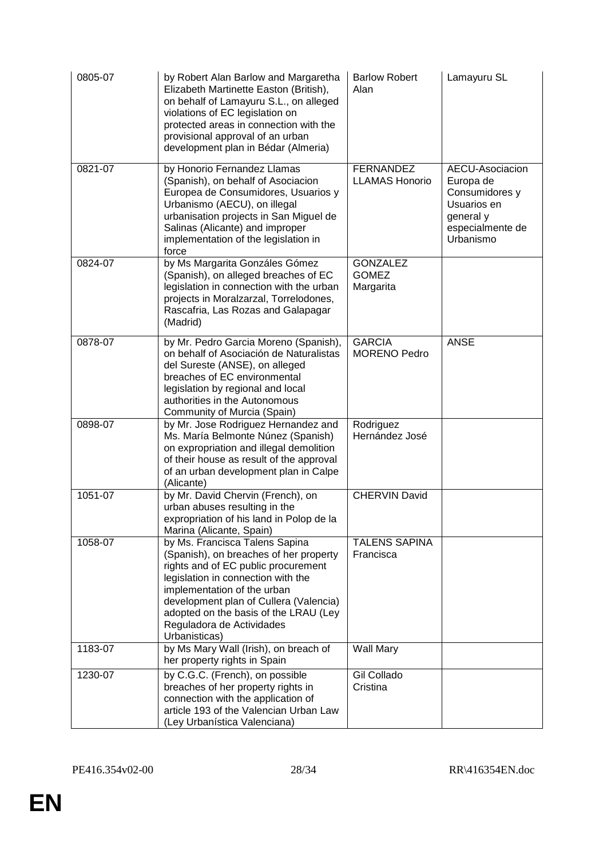| 0805-07 | by Robert Alan Barlow and Margaretha<br>Elizabeth Martinette Easton (British),<br>on behalf of Lamayuru S.L., on alleged<br>violations of EC legislation on<br>protected areas in connection with the<br>provisional approval of an urban<br>development plan in Bédar (Almeria)                                      | <b>Barlow Robert</b><br>Alan                 | Lamayuru SL                                                                                                 |
|---------|-----------------------------------------------------------------------------------------------------------------------------------------------------------------------------------------------------------------------------------------------------------------------------------------------------------------------|----------------------------------------------|-------------------------------------------------------------------------------------------------------------|
| 0821-07 | by Honorio Fernandez Llamas<br>(Spanish), on behalf of Asociacion<br>Europea de Consumidores, Usuarios y<br>Urbanismo (AECU), on illegal<br>urbanisation projects in San Miguel de<br>Salinas (Alicante) and improper<br>implementation of the legislation in<br>force                                                | <b>FERNANDEZ</b><br><b>LLAMAS Honorio</b>    | AECU-Asociacion<br>Europa de<br>Consumidores y<br>Usuarios en<br>general y<br>especialmente de<br>Urbanismo |
| 0824-07 | by Ms Margarita Gonzáles Gómez<br>(Spanish), on alleged breaches of EC<br>legislation in connection with the urban<br>projects in Moralzarzal, Torrelodones,<br>Rascafria, Las Rozas and Galapagar<br>(Madrid)                                                                                                        | <b>GONZALEZ</b><br><b>GOMEZ</b><br>Margarita |                                                                                                             |
| 0878-07 | by Mr. Pedro Garcia Moreno (Spanish),<br>on behalf of Asociación de Naturalistas<br>del Sureste (ANSE), on alleged<br>breaches of EC environmental<br>legislation by regional and local<br>authorities in the Autonomous<br>Community of Murcia (Spain)                                                               | <b>GARCIA</b><br><b>MORENO Pedro</b>         | <b>ANSE</b>                                                                                                 |
| 0898-07 | by Mr. Jose Rodriguez Hernandez and<br>Ms. María Belmonte Núnez (Spanish)<br>on expropriation and illegal demolition<br>of their house as result of the approval<br>of an urban development plan in Calpe<br>(Alicante)                                                                                               | Rodriguez<br>Hernández José                  |                                                                                                             |
| 1051-07 | by Mr. David Chervin (French), on<br>urban abuses resulting in the<br>expropriation of his land in Polop de la<br>Marina (Alicante, Spain)                                                                                                                                                                            | <b>CHERVIN David</b>                         |                                                                                                             |
| 1058-07 | by Ms. Francisca Talens Sapina<br>(Spanish), on breaches of her property<br>rights and of EC public procurement<br>legislation in connection with the<br>implementation of the urban<br>development plan of Cullera (Valencia)<br>adopted on the basis of the LRAU (Ley<br>Reguladora de Actividades<br>Urbanisticas) | <b>TALENS SAPINA</b><br>Francisca            |                                                                                                             |
| 1183-07 | by Ms Mary Wall (Irish), on breach of<br>her property rights in Spain                                                                                                                                                                                                                                                 | Wall Mary                                    |                                                                                                             |
| 1230-07 | by C.G.C. (French), on possible<br>breaches of her property rights in<br>connection with the application of<br>article 193 of the Valencian Urban Law<br>(Ley Urbanística Valenciana)                                                                                                                                 | Gil Collado<br>Cristina                      |                                                                                                             |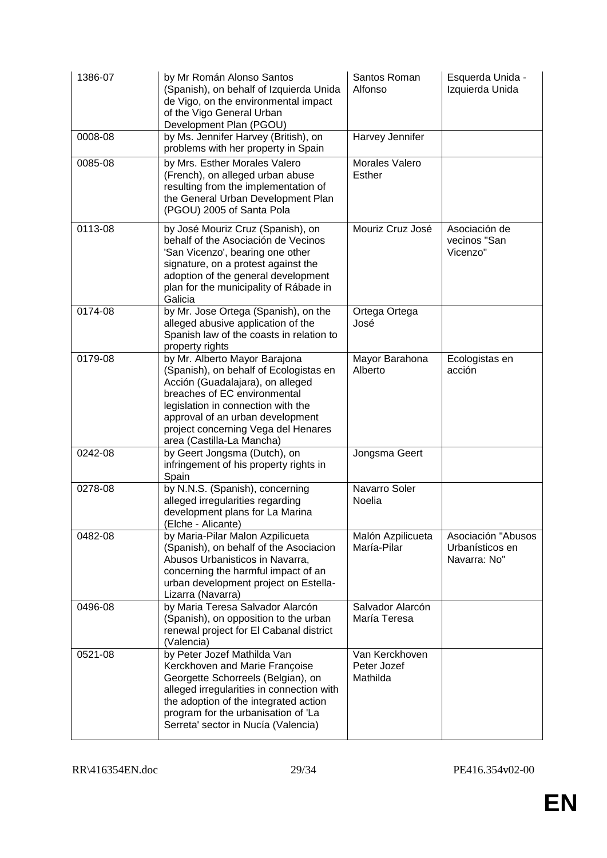| 1386-07 | by Mr Román Alonso Santos<br>(Spanish), on behalf of Izquierda Unida<br>de Vigo, on the environmental impact<br>of the Vigo General Urban<br>Development Plan (PGOU)                                                                                                                      | Santos Roman<br>Alfonso                   | Esquerda Unida -<br>Izquierda Unida                   |
|---------|-------------------------------------------------------------------------------------------------------------------------------------------------------------------------------------------------------------------------------------------------------------------------------------------|-------------------------------------------|-------------------------------------------------------|
| 0008-08 | by Ms. Jennifer Harvey (British), on<br>problems with her property in Spain                                                                                                                                                                                                               | Harvey Jennifer                           |                                                       |
| 0085-08 | by Mrs. Esther Morales Valero<br>(French), on alleged urban abuse<br>resulting from the implementation of<br>the General Urban Development Plan<br>(PGOU) 2005 of Santa Pola                                                                                                              | Morales Valero<br>Esther                  |                                                       |
| 0113-08 | by José Mouriz Cruz (Spanish), on<br>behalf of the Asociación de Vecinos<br>'San Vicenzo', bearing one other<br>signature, on a protest against the<br>adoption of the general development<br>plan for the municipality of Rábade in<br>Galicia                                           | Mouriz Cruz José                          | Asociación de<br>vecinos "San<br>Vicenzo"             |
| 0174-08 | by Mr. Jose Ortega (Spanish), on the<br>alleged abusive application of the<br>Spanish law of the coasts in relation to<br>property rights                                                                                                                                                 | Ortega Ortega<br>José                     |                                                       |
| 0179-08 | by Mr. Alberto Mayor Barajona<br>(Spanish), on behalf of Ecologistas en<br>Acción (Guadalajara), on alleged<br>breaches of EC environmental<br>legislation in connection with the<br>approval of an urban development<br>project concerning Vega del Henares<br>area (Castilla-La Mancha) | Mayor Barahona<br>Alberto                 | Ecologistas en<br>acción                              |
| 0242-08 | by Geert Jongsma (Dutch), on<br>infringement of his property rights in<br>Spain                                                                                                                                                                                                           | Jongsma Geert                             |                                                       |
| 0278-08 | by N.N.S. (Spanish), concerning<br>alleged irregularities regarding<br>development plans for La Marina<br>(Elche - Alicante)                                                                                                                                                              | Navarro Soler<br>Noelia                   |                                                       |
| 0482-08 | by Maria-Pilar Malon Azpilicueta<br>(Spanish), on behalf of the Asociacion<br>Abusos Urbanisticos in Navarra,<br>concerning the harmful impact of an<br>urban development project on Estella-<br>Lizarra (Navarra)                                                                        | Malón Azpilicueta<br>María-Pilar          | Asociación "Abusos<br>Urbanísticos en<br>Navarra: No" |
| 0496-08 | by Maria Teresa Salvador Alarcón<br>(Spanish), on opposition to the urban<br>renewal project for El Cabanal district<br>(Valencia)                                                                                                                                                        | Salvador Alarcón<br>María Teresa          |                                                       |
| 0521-08 | by Peter Jozef Mathilda Van<br>Kerckhoven and Marie Françoise<br>Georgette Schorreels (Belgian), on<br>alleged irregularities in connection with<br>the adoption of the integrated action<br>program for the urbanisation of 'La<br>Serreta' sector in Nucía (Valencia)                   | Van Kerckhoven<br>Peter Jozef<br>Mathilda |                                                       |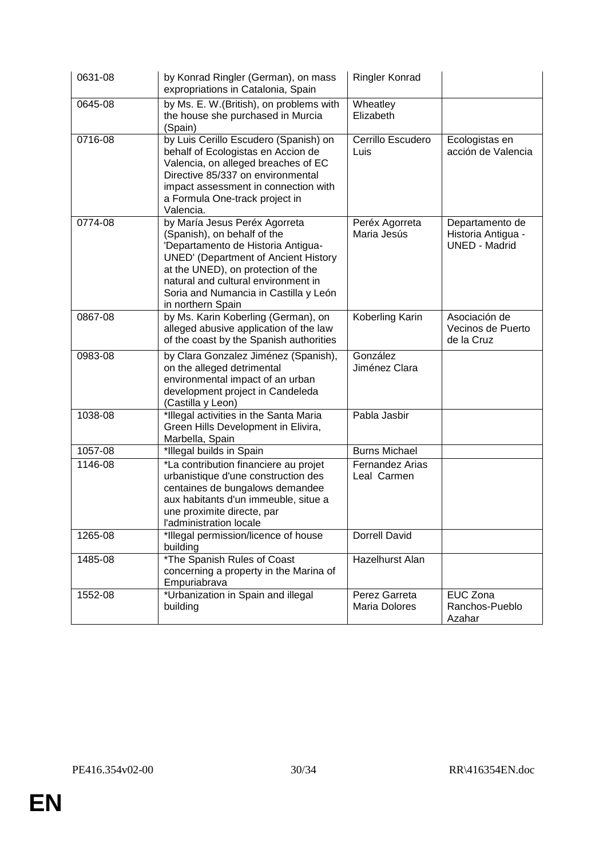| 0631-08 | by Konrad Ringler (German), on mass<br>expropriations in Catalonia, Spain                                                                                                                                                                                                                    | Ringler Konrad                        |                                                               |
|---------|----------------------------------------------------------------------------------------------------------------------------------------------------------------------------------------------------------------------------------------------------------------------------------------------|---------------------------------------|---------------------------------------------------------------|
| 0645-08 | by Ms. E. W. (British), on problems with<br>the house she purchased in Murcia<br>(Spain)                                                                                                                                                                                                     | Wheatley<br>Elizabeth                 |                                                               |
| 0716-08 | by Luis Cerillo Escudero (Spanish) on<br>behalf of Ecologistas en Accion de<br>Valencia, on alleged breaches of EC<br>Directive 85/337 on environmental<br>impact assessment in connection with<br>a Formula One-track project in<br>Valencia.                                               | Cerrillo Escudero<br>Luis             | Ecologistas en<br>acción de Valencia                          |
| 0774-08 | by María Jesus Peréx Agorreta<br>(Spanish), on behalf of the<br>'Departamento de Historia Antigua-<br><b>UNED' (Department of Ancient History</b><br>at the UNED), on protection of the<br>natural and cultural environment in<br>Soria and Numancia in Castilla y León<br>in northern Spain | Peréx Agorreta<br>Maria Jesús         | Departamento de<br>Historia Antigua -<br><b>UNED - Madrid</b> |
| 0867-08 | by Ms. Karin Koberling (German), on<br>alleged abusive application of the law<br>of the coast by the Spanish authorities                                                                                                                                                                     | Koberling Karin                       | Asociación de<br>Vecinos de Puerto<br>de la Cruz              |
| 0983-08 | by Clara Gonzalez Jiménez (Spanish),<br>on the alleged detrimental<br>environmental impact of an urban<br>development project in Candeleda<br>(Castilla y Leon)                                                                                                                              | González<br>Jiménez Clara             |                                                               |
| 1038-08 | *Illegal activities in the Santa Maria<br>Green Hills Development in Elivira,<br>Marbella, Spain                                                                                                                                                                                             | Pabla Jasbir                          |                                                               |
| 1057-08 | *Illegal builds in Spain                                                                                                                                                                                                                                                                     | <b>Burns Michael</b>                  |                                                               |
| 1146-08 | *La contribution financiere au projet<br>urbanistique d'une construction des<br>centaines de bungalows demandee<br>aux habitants d'un immeuble, situe a<br>une proximite directe, par<br>l'administration locale                                                                             | <b>Fernandez Arias</b><br>Leal Carmen |                                                               |
| 1265-08 | *Illegal permission/licence of house<br>building                                                                                                                                                                                                                                             | Dorrell David                         |                                                               |
| 1485-08 | <i><b>*The Spanish Rules of Coast</b></i><br>concerning a property in the Marina of<br>Empuriabrava                                                                                                                                                                                          | Hazelhurst Alan                       |                                                               |
| 1552-08 | *Urbanization in Spain and illegal<br>building                                                                                                                                                                                                                                               | Perez Garreta<br>Maria Dolores        | EUC Zona<br>Ranchos-Pueblo<br>Azahar                          |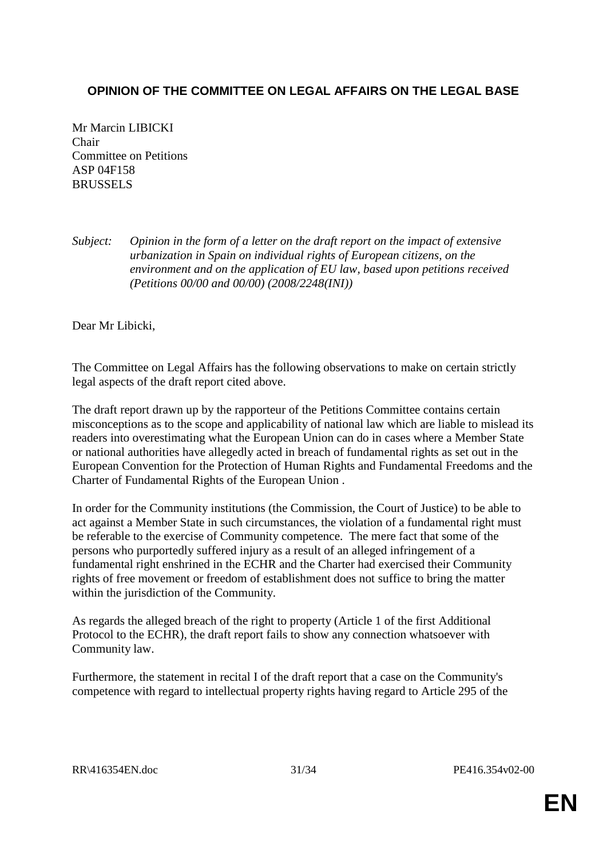## **OPINION OF THE COMMITTEE ON LEGAL AFFAIRS ON THE LEGAL BASE**

Mr Marcin LIBICKI Chair Committee on Petitions ASP 04F158 BRUSSELS

*Subject: Opinion in the form of a letter on the draft report on the impact of extensive urbanization in Spain on individual rights of European citizens, on the environment and on the application of EU law, based upon petitions received (Petitions 00/00 and 00/00) (2008/2248(INI))*

Dear Mr Libicki,

The Committee on Legal Affairs has the following observations to make on certain strictly legal aspects of the draft report cited above.

The draft report drawn up by the rapporteur of the Petitions Committee contains certain misconceptions as to the scope and applicability of national law which are liable to mislead its readers into overestimating what the European Union can do in cases where a Member State or national authorities have allegedly acted in breach of fundamental rights as set out in the European Convention for the Protection of Human Rights and Fundamental Freedoms and the Charter of Fundamental Rights of the European Union .

In order for the Community institutions (the Commission, the Court of Justice) to be able to act against a Member State in such circumstances, the violation of a fundamental right must be referable to the exercise of Community competence. The mere fact that some of the persons who purportedly suffered injury as a result of an alleged infringement of a fundamental right enshrined in the ECHR and the Charter had exercised their Community rights of free movement or freedom of establishment does not suffice to bring the matter within the jurisdiction of the Community.

As regards the alleged breach of the right to property (Article 1 of the first Additional Protocol to the ECHR), the draft report fails to show any connection whatsoever with Community law.

Furthermore, the statement in recital I of the draft report that a case on the Community's competence with regard to intellectual property rights having regard to Article 295 of the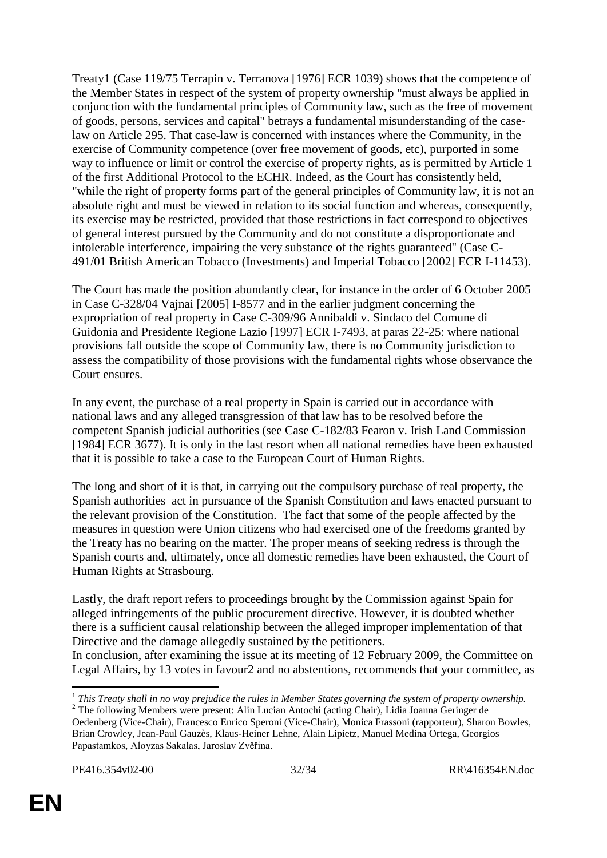Treaty1 (Case 119/75 Terrapin v. Terranova [1976] ECR 1039) shows that the competence of the Member States in respect of the system of property ownership "must always be applied in conjunction with the fundamental principles of Community law, such as the free of movement of goods, persons, services and capital" betrays a fundamental misunderstanding of the caselaw on Article 295. That case-law is concerned with instances where the Community, in the exercise of Community competence (over free movement of goods, etc), purported in some way to influence or limit or control the exercise of property rights, as is permitted by Article 1 of the first Additional Protocol to the ECHR. Indeed, as the Court has consistently held, "while the right of property forms part of the general principles of Community law, it is not an absolute right and must be viewed in relation to its social function and whereas, consequently, its exercise may be restricted, provided that those restrictions in fact correspond to objectives of general interest pursued by the Community and do not constitute a disproportionate and intolerable interference, impairing the very substance of the rights guaranteed" (Case C-491/01 British American Tobacco (Investments) and Imperial Tobacco [2002] ECR I-11453).

The Court has made the position abundantly clear, for instance in the order of 6 October 2005 in Case C-328/04 Vajnai [2005] I-8577 and in the earlier judgment concerning the expropriation of real property in Case C-309/96 Annibaldi v. Sindaco del Comune di Guidonia and Presidente Regione Lazio [1997] ECR I-7493, at paras 22-25: where national provisions fall outside the scope of Community law, there is no Community jurisdiction to assess the compatibility of those provisions with the fundamental rights whose observance the Court ensures.

In any event, the purchase of a real property in Spain is carried out in accordance with national laws and any alleged transgression of that law has to be resolved before the competent Spanish judicial authorities (see Case C-182/83 Fearon v. Irish Land Commission [1984] ECR 3677). It is only in the last resort when all national remedies have been exhausted that it is possible to take a case to the European Court of Human Rights.

The long and short of it is that, in carrying out the compulsory purchase of real property, the Spanish authorities act in pursuance of the Spanish Constitution and laws enacted pursuant to the relevant provision of the Constitution. The fact that some of the people affected by the measures in question were Union citizens who had exercised one of the freedoms granted by the Treaty has no bearing on the matter. The proper means of seeking redress is through the Spanish courts and, ultimately, once all domestic remedies have been exhausted, the Court of Human Rights at Strasbourg.

Lastly, the draft report refers to proceedings brought by the Commission against Spain for alleged infringements of the public procurement directive. However, it is doubted whether there is a sufficient causal relationship between the alleged improper implementation of that Directive and the damage allegedly sustained by the petitioners.

In conclusion, after examining the issue at its meeting of 12 February 2009, the Committee on Legal Affairs, by 13 votes in favour2 and no abstentions, recommends that your committee, as

<sup>&</sup>lt;sup>1</sup> This Treaty shall in no way prejudice the rules in Member States governing the system of property ownership. <sup>2</sup> The following Members were present: Alin Lucian Antochi (acting Chair), Lidia Joanna Geringer de

Oedenberg (Vice-Chair), Francesco Enrico Speroni (Vice-Chair), Monica Frassoni (rapporteur), Sharon Bowles, Brian Crowley, Jean-Paul Gauzès, Klaus-Heiner Lehne, Alain Lipietz, Manuel Medina Ortega, Georgios Papastamkos, Aloyzas Sakalas, Jaroslav Zvěřina.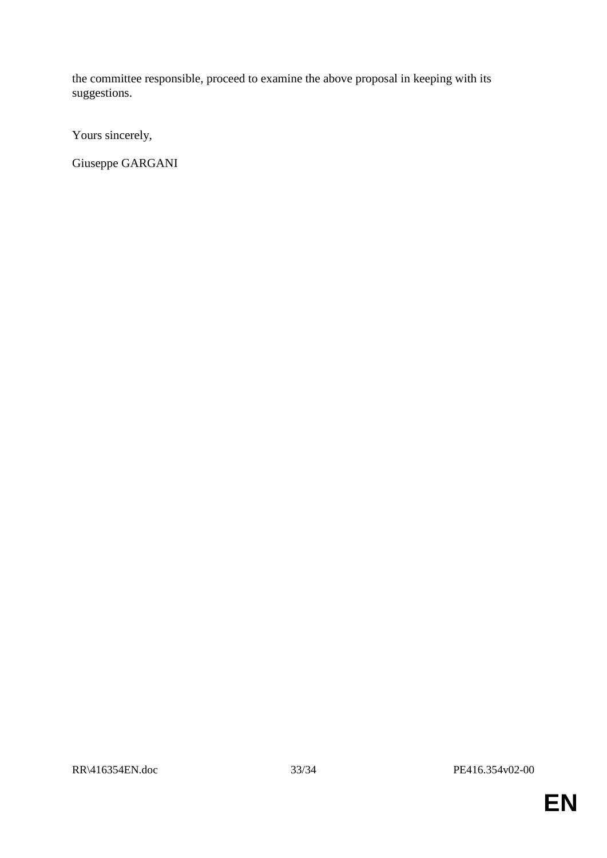the committee responsible, proceed to examine the above proposal in keeping with its suggestions.

Yours sincerely,

Giuseppe GARGANI